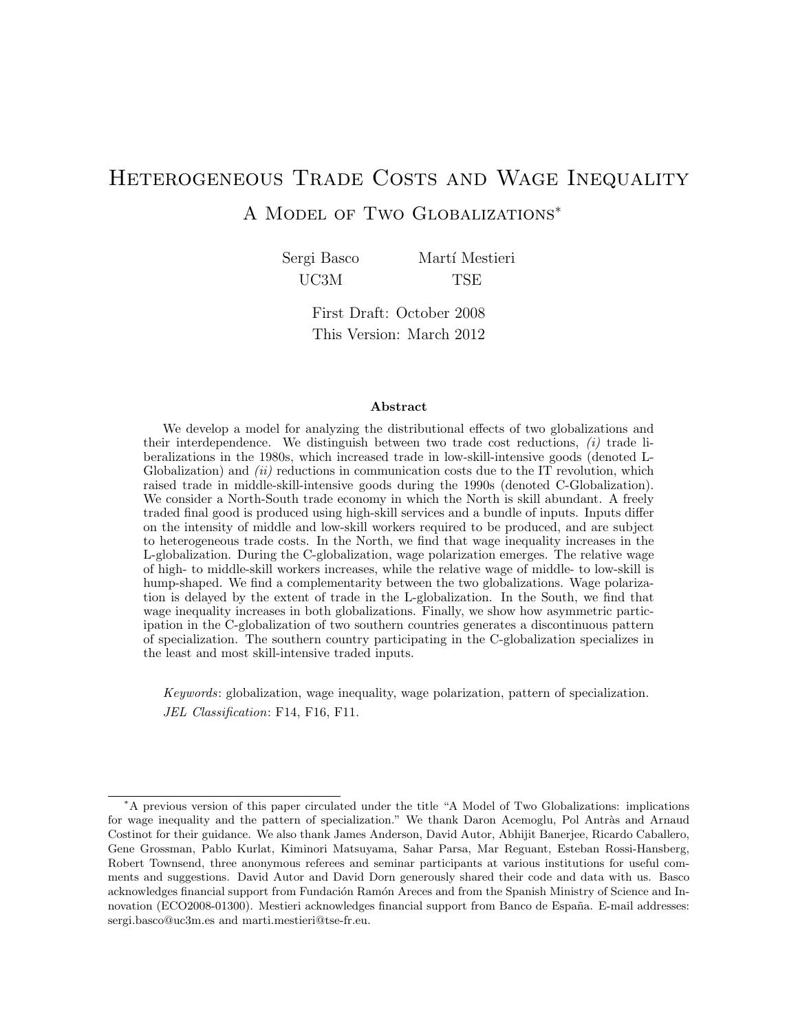# HETEROGENEOUS TRADE COSTS AND WAGE INEQUALITY A Model of Two Globalizations<sup>∗</sup>

Sergi Basco UC3M Martí Mestieri TSE

> First Draft: October 2008 This Version: March 2012

#### Abstract

We develop a model for analyzing the distributional effects of two globalizations and their interdependence. We distinguish between two trade cost reductions,  $(i)$  trade liberalizations in the 1980s, which increased trade in low-skill-intensive goods (denoted L-Globalization) and  $(ii)$  reductions in communication costs due to the IT revolution, which raised trade in middle-skill-intensive goods during the 1990s (denoted C-Globalization). We consider a North-South trade economy in which the North is skill abundant. A freely traded final good is produced using high-skill services and a bundle of inputs. Inputs differ on the intensity of middle and low-skill workers required to be produced, and are subject to heterogeneous trade costs. In the North, we find that wage inequality increases in the L-globalization. During the C-globalization, wage polarization emerges. The relative wage of high- to middle-skill workers increases, while the relative wage of middle- to low-skill is hump-shaped. We find a complementarity between the two globalizations. Wage polarization is delayed by the extent of trade in the L-globalization. In the South, we find that wage inequality increases in both globalizations. Finally, we show how asymmetric participation in the C-globalization of two southern countries generates a discontinuous pattern of specialization. The southern country participating in the C-globalization specializes in the least and most skill-intensive traded inputs.

Keywords: globalization, wage inequality, wage polarization, pattern of specialization. JEL Classification: F14, F16, F11.

<sup>∗</sup>A previous version of this paper circulated under the title "A Model of Two Globalizations: implications for wage inequality and the pattern of specialization." We thank Daron Acemoglu, Pol Antràs and Arnaud Costinot for their guidance. We also thank James Anderson, David Autor, Abhijit Banerjee, Ricardo Caballero, Gene Grossman, Pablo Kurlat, Kiminori Matsuyama, Sahar Parsa, Mar Reguant, Esteban Rossi-Hansberg, Robert Townsend, three anonymous referees and seminar participants at various institutions for useful comments and suggestions. David Autor and David Dorn generously shared their code and data with us. Basco acknowledges financial support from Fundación Ramón Areces and from the Spanish Ministry of Science and Innovation (ECO2008-01300). Mestieri acknowledges financial support from Banco de España. E-mail addresses: sergi.basco@uc3m.es and marti.mestieri@tse-fr.eu.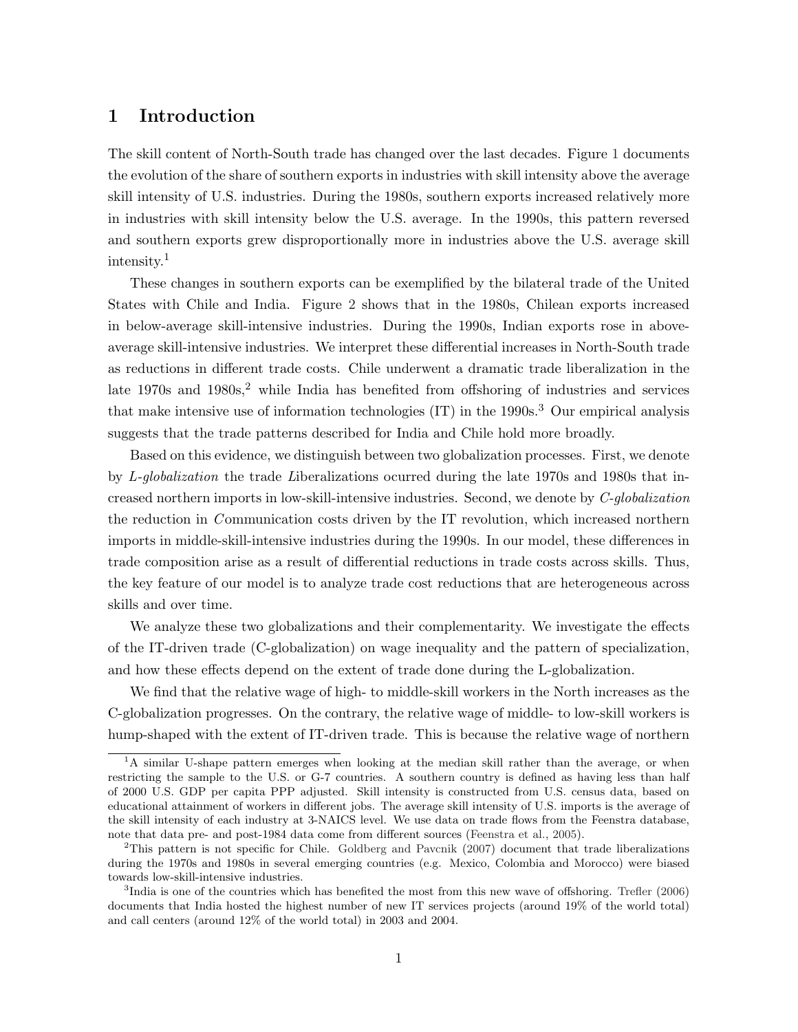# 1 Introduction

The skill content of North-South trade has changed over the last decades. Figure [1](#page-34-0) documents the evolution of the share of southern exports in industries with skill intensity above the average skill intensity of U.S. industries. During the 1980s, southern exports increased relatively more in industries with skill intensity below the U.S. average. In the 1990s, this pattern reversed and southern exports grew disproportionally more in industries above the U.S. average skill intensity.<sup>1</sup>

These changes in southern exports can be exemplified by the bilateral trade of the United States with Chile and India. Figure [2](#page-35-0) shows that in the 1980s, Chilean exports increased in below-average skill-intensive industries. During the 1990s, Indian exports rose in aboveaverage skill-intensive industries. We interpret these differential increases in North-South trade as reductions in different trade costs. Chile underwent a dramatic trade liberalization in the late  $1970s$  and  $1980s$ ,<sup>2</sup> while India has benefited from offshoring of industries and services that make intensive use of information technologies  $(IT)$  in the 1990s.<sup>3</sup> Our empirical analysis suggests that the trade patterns described for India and Chile hold more broadly.

Based on this evidence, we distinguish between two globalization processes. First, we denote by L-globalization the trade Liberalizations ocurred during the late 1970s and 1980s that increased northern imports in low-skill-intensive industries. Second, we denote by C-globalization the reduction in Communication costs driven by the IT revolution, which increased northern imports in middle-skill-intensive industries during the 1990s. In our model, these differences in trade composition arise as a result of differential reductions in trade costs across skills. Thus, the key feature of our model is to analyze trade cost reductions that are heterogeneous across skills and over time.

We analyze these two globalizations and their complementarity. We investigate the effects of the IT-driven trade (C-globalization) on wage inequality and the pattern of specialization, and how these effects depend on the extent of trade done during the L-globalization.

We find that the relative wage of high- to middle-skill workers in the North increases as the C-globalization progresses. On the contrary, the relative wage of middle- to low-skill workers is hump-shaped with the extent of IT-driven trade. This is because the relative wage of northern

<sup>&</sup>lt;sup>1</sup>A similar U-shape pattern emerges when looking at the median skill rather than the average, or when restricting the sample to the U.S. or G-7 countries. A southern country is defined as having less than half of 2000 U.S. GDP per capita PPP adjusted. Skill intensity is constructed from U.S. census data, based on educational attainment of workers in different jobs. The average skill intensity of U.S. imports is the average of the skill intensity of each industry at 3-NAICS level. We use data on trade flows from the Feenstra database, note that data pre- and post-1984 data come from different sources [\(Feenstra et al.,](#page-23-0) [2005\)](#page-23-0).

<sup>2</sup>This pattern is not specific for Chile. [Goldberg and Pavcnik](#page-23-0) [\(2007\)](#page-23-0) document that trade liberalizations during the 1970s and 1980s in several emerging countries (e.g. Mexico, Colombia and Morocco) were biased towards low-skill-intensive industries.

<sup>3</sup> India is one of the countries which has benefited the most from this new wave of offshoring. [Trefler](#page-25-0) [\(2006\)](#page-25-0) documents that India hosted the highest number of new IT services projects (around 19% of the world total) and call centers (around 12% of the world total) in 2003 and 2004.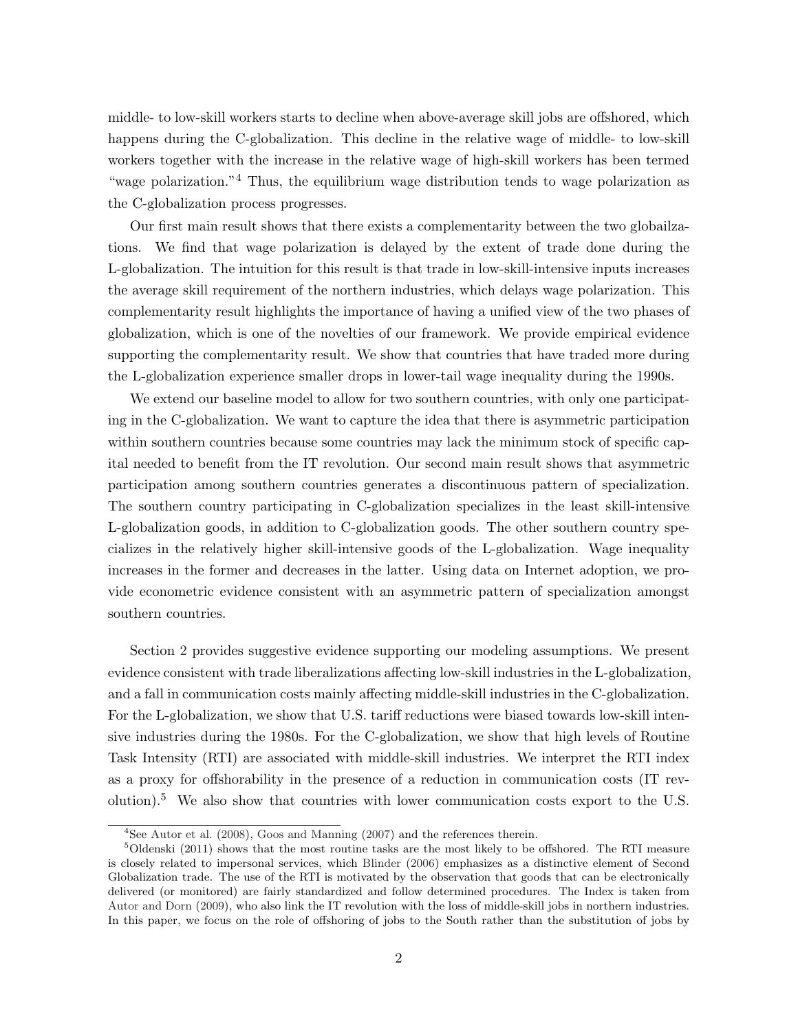middle- to low-skill workers starts to decline when above-average skill jobs are offshored, which happens during the C-globalization. This decline in the relative wage of middle- to low-skill workers together with the increase in the relative wage of high-skill workers has been termed "wage polarization."<sup>4</sup> Thus, the equilibrium wage distribution tends to wage polarization as the C-globalization process progresses.

Our first main result shows that there exists a complementarity between the two globailzations. We find that wage polarization is delayed by the extent of trade done during the L-globalization. The intuition for this result is that trade in low-skill-intensive inputs increases the average skill requirement of the northern industries, which delays wage polarization. This complementarity result highlights the importance of having a unified view of the two phases of globalization, which is one of the novelties of our framework. We provide empirical evidence supporting the complementarity result. We show that countries that have traded more during the L-globalization experience smaller drops in lower-tail wage inequality during the 1990s.

We extend our baseline model to allow for two southern countries, with only one participating in the C-globalization. We want to capture the idea that there is asymmetric participation within southern countries because some countries may lack the minimum stock of specific capital needed to benefit from the IT revolution. Our second main result shows that asymmetric participation among southern countries generates a discontinuous pattern of specialization. The southern country participating in C-globalization specializes in the least skill-intensive L-globalization goods, in addition to C-globalization goods. The other southern country specializes in the relatively higher skill-intensive goods of the L-globalization. Wage inequality increases in the former and decreases in the latter. Using data on Internet adoption, we provide econometric evidence consistent with an asymmetric pattern of specialization amongst southern countries.

Section [2](#page-4-0) provides suggestive evidence supporting our modeling assumptions. We present evidence consistent with trade liberalizations affecting low-skill industries in the L-globalization, and a fall in communication costs mainly affecting middle-skill industries in the C-globalization. For the L-globalization, we show that U.S. tariff reductions were biased towards low-skill intensive industries during the 1980s. For the C-globalization, we show that high levels of Routine Task Intensity (RTI) are associated with middle-skill industries. We interpret the RTI index as a proxy for offshorability in the presence of a reduction in communication costs (IT revolution).<sup>5</sup> We also show that countries with lower communication costs export to the U.S.

<sup>&</sup>lt;sup>4</sup>See [Autor et al.](#page-22-0) [\(2008](#page-22-0)), [Goos and Manning](#page-23-0) [\(2007](#page-23-0)) and the references therein.

<sup>5</sup>Oldenski (2011) shows that the most routine tasks are the most likely to be offshored. The RTI measure is closely related to impersonal services, which [Blinder](#page-22-0) [\(2006\)](#page-22-0) emphasizes as a distinctive element of Second Globalization trade. The use of the RTI is motivated by the observation that goods that can be electronically delivered (or monitored) are fairly standardized and follow determined procedures. The Index is taken from [Autor and Dorn](#page-22-0) [\(2009](#page-22-0)), who also link the IT revolution with the loss of middle-skill jobs in northern industries. In this paper, we focus on the role of offshoring of jobs to the South rather than the substitution of jobs by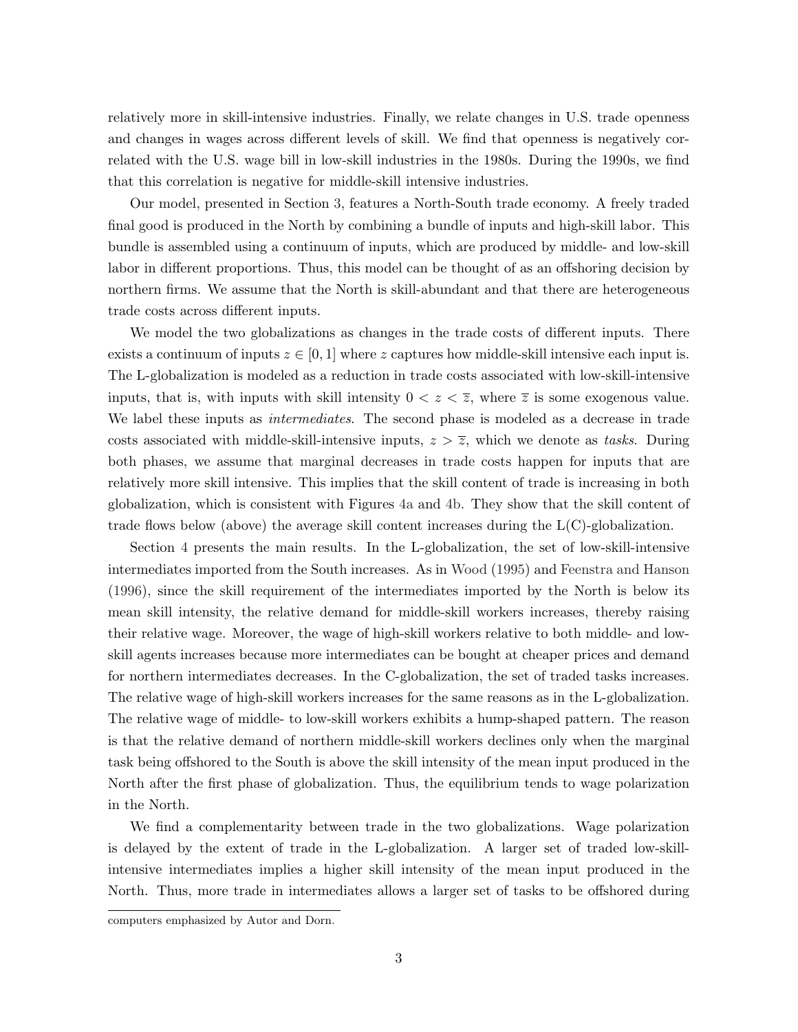relatively more in skill-intensive industries. Finally, we relate changes in U.S. trade openness and changes in wages across different levels of skill. We find that openness is negatively correlated with the U.S. wage bill in low-skill industries in the 1980s. During the 1990s, we find that this correlation is negative for middle-skill intensive industries.

Our model, presented in Section [3,](#page-8-0) features a North-South trade economy. A freely traded final good is produced in the North by combining a bundle of inputs and high-skill labor. This bundle is assembled using a continuum of inputs, which are produced by middle- and low-skill labor in different proportions. Thus, this model can be thought of as an offshoring decision by northern firms. We assume that the North is skill-abundant and that there are heterogeneous trade costs across different inputs.

We model the two globalizations as changes in the trade costs of different inputs. There exists a continuum of inputs  $z \in [0, 1]$  where z captures how middle-skill intensive each input is. The L-globalization is modeled as a reduction in trade costs associated with low-skill-intensive inputs, that is, with inputs with skill intensity  $0 < z < \overline{z}$ , where  $\overline{z}$  is some exogenous value. We label these inputs as *intermediates*. The second phase is modeled as a decrease in trade costs associated with middle-skill-intensive inputs,  $z > \overline{z}$ , which we denote as tasks. During both phases, we assume that marginal decreases in trade costs happen for inputs that are relatively more skill intensive. This implies that the skill content of trade is increasing in both globalization, which is consistent with Figures [4a](#page-36-0) and [4b.](#page-36-0) They show that the skill content of trade flows below (above) the average skill content increases during the L(C)-globalization.

Section [4](#page-11-0) presents the main results. In the L-globalization, the set of low-skill-intensive intermediates imported from the South increases. As in [Wood](#page-25-0) [\(1995\)](#page-25-0) and [Feenstra and Hanson](#page-23-0) [\(1996\)](#page-23-0), since the skill requirement of the intermediates imported by the North is below its mean skill intensity, the relative demand for middle-skill workers increases, thereby raising their relative wage. Moreover, the wage of high-skill workers relative to both middle- and lowskill agents increases because more intermediates can be bought at cheaper prices and demand for northern intermediates decreases. In the C-globalization, the set of traded tasks increases. The relative wage of high-skill workers increases for the same reasons as in the L-globalization. The relative wage of middle- to low-skill workers exhibits a hump-shaped pattern. The reason is that the relative demand of northern middle-skill workers declines only when the marginal task being offshored to the South is above the skill intensity of the mean input produced in the North after the first phase of globalization. Thus, the equilibrium tends to wage polarization in the North.

We find a complementarity between trade in the two globalizations. Wage polarization is delayed by the extent of trade in the L-globalization. A larger set of traded low-skillintensive intermediates implies a higher skill intensity of the mean input produced in the North. Thus, more trade in intermediates allows a larger set of tasks to be offshored during

computers emphasized by Autor and Dorn.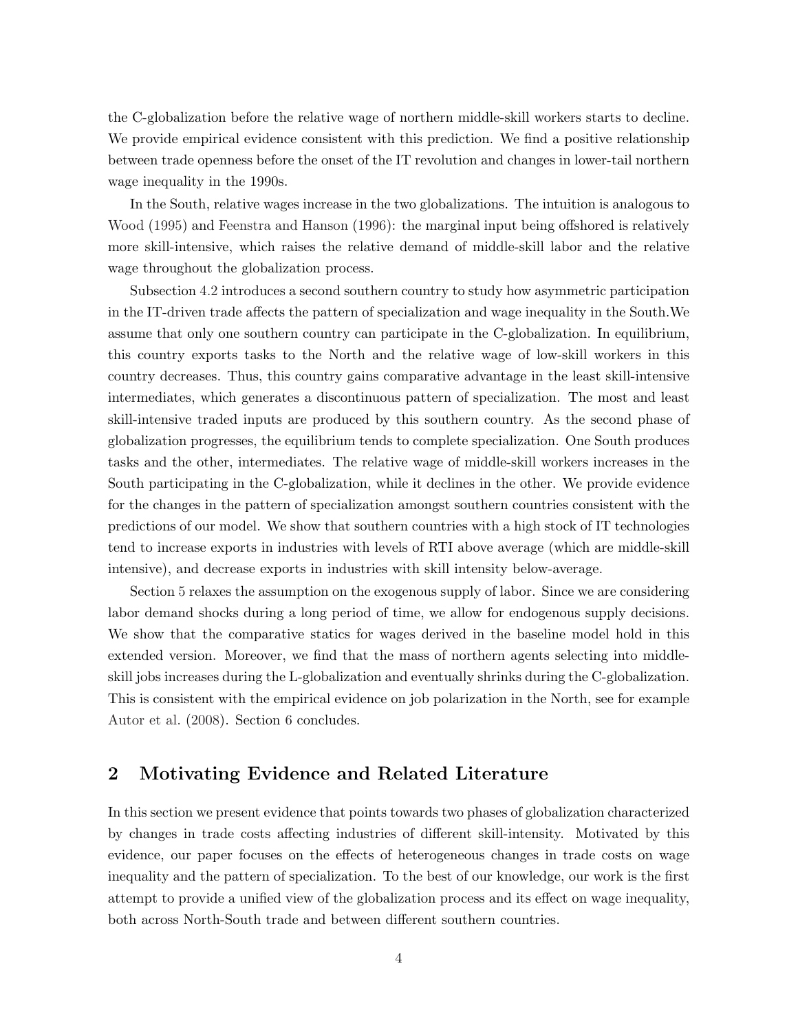<span id="page-4-0"></span>the C-globalization before the relative wage of northern middle-skill workers starts to decline. We provide empirical evidence consistent with this prediction. We find a positive relationship between trade openness before the onset of the IT revolution and changes in lower-tail northern wage inequality in the 1990s.

In the South, relative wages increase in the two globalizations. The intuition is analogous to [Wood](#page-25-0) [\(1995\)](#page-25-0) and [Feenstra and Hanson](#page-23-0) [\(1996](#page-23-0)): the marginal input being offshored is relatively more skill-intensive, which raises the relative demand of middle-skill labor and the relative wage throughout the globalization process.

Subsection [4.2](#page-15-0) introduces a second southern country to study how asymmetric participation in the IT-driven trade affects the pattern of specialization and wage inequality in the South.We assume that only one southern country can participate in the C-globalization. In equilibrium, this country exports tasks to the North and the relative wage of low-skill workers in this country decreases. Thus, this country gains comparative advantage in the least skill-intensive intermediates, which generates a discontinuous pattern of specialization. The most and least skill-intensive traded inputs are produced by this southern country. As the second phase of globalization progresses, the equilibrium tends to complete specialization. One South produces tasks and the other, intermediates. The relative wage of middle-skill workers increases in the South participating in the C-globalization, while it declines in the other. We provide evidence for the changes in the pattern of specialization amongst southern countries consistent with the predictions of our model. We show that southern countries with a high stock of IT technologies tend to increase exports in industries with levels of RTI above average (which are middle-skill intensive), and decrease exports in industries with skill intensity below-average.

Section [5](#page-18-0) relaxes the assumption on the exogenous supply of labor. Since we are considering labor demand shocks during a long period of time, we allow for endogenous supply decisions. We show that the comparative statics for wages derived in the baseline model hold in this extended version. Moreover, we find that the mass of northern agents selecting into middleskill jobs increases during the L-globalization and eventually shrinks during the C-globalization. This is consistent with the empirical evidence on job polarization in the North, see for example [Autor et al.](#page-22-0) [\(2008\)](#page-22-0). Section [6](#page-20-0) concludes.

# 2 Motivating Evidence and Related Literature

In this section we present evidence that points towards two phases of globalization characterized by changes in trade costs affecting industries of different skill-intensity. Motivated by this evidence, our paper focuses on the effects of heterogeneous changes in trade costs on wage inequality and the pattern of specialization. To the best of our knowledge, our work is the first attempt to provide a unified view of the globalization process and its effect on wage inequality, both across North-South trade and between different southern countries.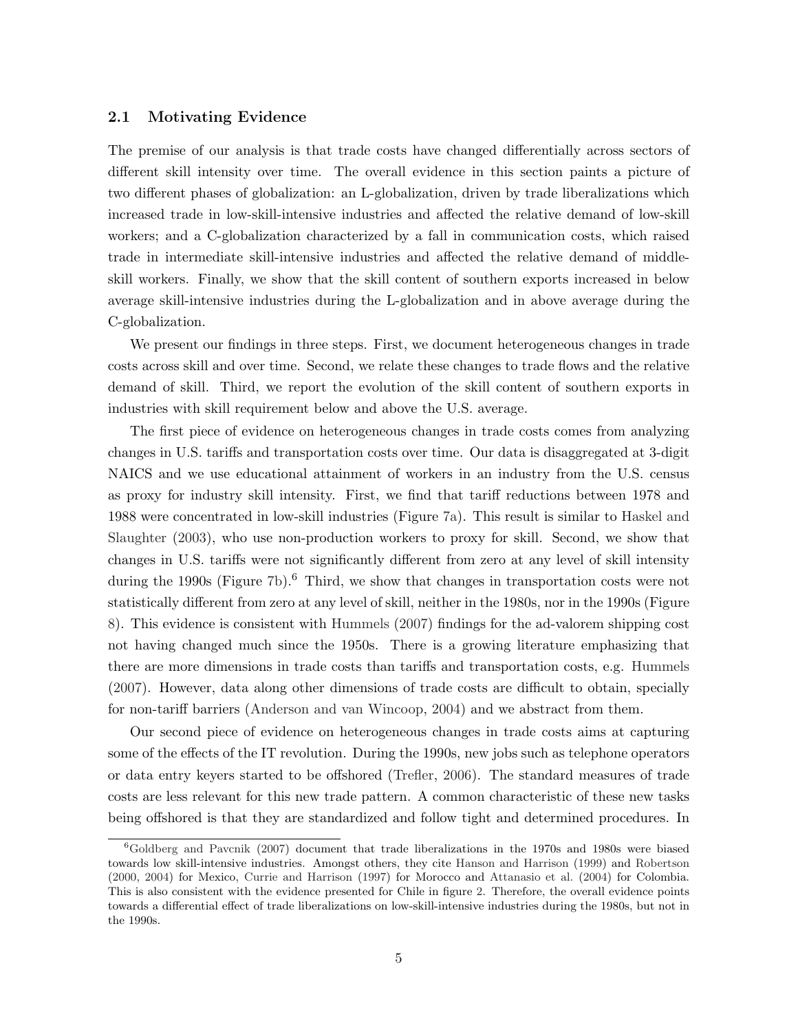## 2.1 Motivating Evidence

The premise of our analysis is that trade costs have changed differentially across sectors of different skill intensity over time. The overall evidence in this section paints a picture of two different phases of globalization: an L-globalization, driven by trade liberalizations which increased trade in low-skill-intensive industries and affected the relative demand of low-skill workers; and a C-globalization characterized by a fall in communication costs, which raised trade in intermediate skill-intensive industries and affected the relative demand of middleskill workers. Finally, we show that the skill content of southern exports increased in below average skill-intensive industries during the L-globalization and in above average during the C-globalization.

We present our findings in three steps. First, we document heterogeneous changes in trade costs across skill and over time. Second, we relate these changes to trade flows and the relative demand of skill. Third, we report the evolution of the skill content of southern exports in industries with skill requirement below and above the U.S. average.

The first piece of evidence on heterogeneous changes in trade costs comes from analyzing changes in U.S. tariffs and transportation costs over time. Our data is disaggregated at 3-digit NAICS and we use educational attainment of workers in an industry from the U.S. census as proxy for industry skill intensity. First, we find that tariff reductions between 1978 and 1988 wer[e concentrated in low-skill industries \(Figure](#page-24-0) [7a\)](#page-37-0). This result is similar to Haskel and Slaughter [\(2003](#page-24-0)), who use non-production workers to proxy for skill. Second, we show that changes in U.S. tariffs were not significantly different from zero at any level of skill intensity during the 1990s (Figure [7b\)](#page-37-0).<sup>6</sup> Third, we show that changes in transportation costs were not statistically different from zero at any level of skill, neither in the 1980s, nor in the 1990s (Figure [8\)](#page-38-0). This evidence is consistent with [Hummels](#page-24-0) [\(2007](#page-24-0)) findings for the ad-valorem shipping cost not having changed much since the 1950s. There is a growing literature emphasizing that there are more dimensions in trade costs than tariffs and transportation costs, e.g. [Hummels](#page-24-0) [\(2007\)](#page-24-0). However, data along other dimensions of trade costs are difficult to obtain, specially for non-tariff barriers [\(Anderson and van Wincoop,](#page-22-0) [2004](#page-22-0)) and we abstract from them.

Our second piece of evidence on heterogeneous changes in trade costs aims at capturing some of the effects of the IT revolution. During the 1990s, new jobs such as telephone operators or data entry keyers started to be offshored [\(Trefler](#page-25-0), [2006\)](#page-25-0). The standard measures of trade costs are less relevant for this new trade pattern. A common characteristic of these new tasks being offshored is that they are standardized and follow tight and determined procedures. In

<sup>6</sup>[Goldberg and Pavcnik](#page-23-0) [\(2007\)](#page-23-0) document that trade liberalizations in the 1970s and 1980s were biased towards low skill-intensive industries. Amongst others, they cite [Hanson and Harrison](#page-24-0) [\(1999](#page-24-0)) and [Robertson](#page-24-0) [\(2000,](#page-24-0) [2004\)](#page-24-0) for Mexico, [Currie and Harrison](#page-23-0) [\(1997](#page-23-0)) for Morocco and [Attanasio et al.](#page-22-0) [\(2004](#page-22-0)) for Colombia. This is also consistent with the evidence presented for Chile in figure [2.](#page-35-0) Therefore, the overall evidence points towards a differential effect of trade liberalizations on low-skill-intensive industries during the 1980s, but not in the 1990s.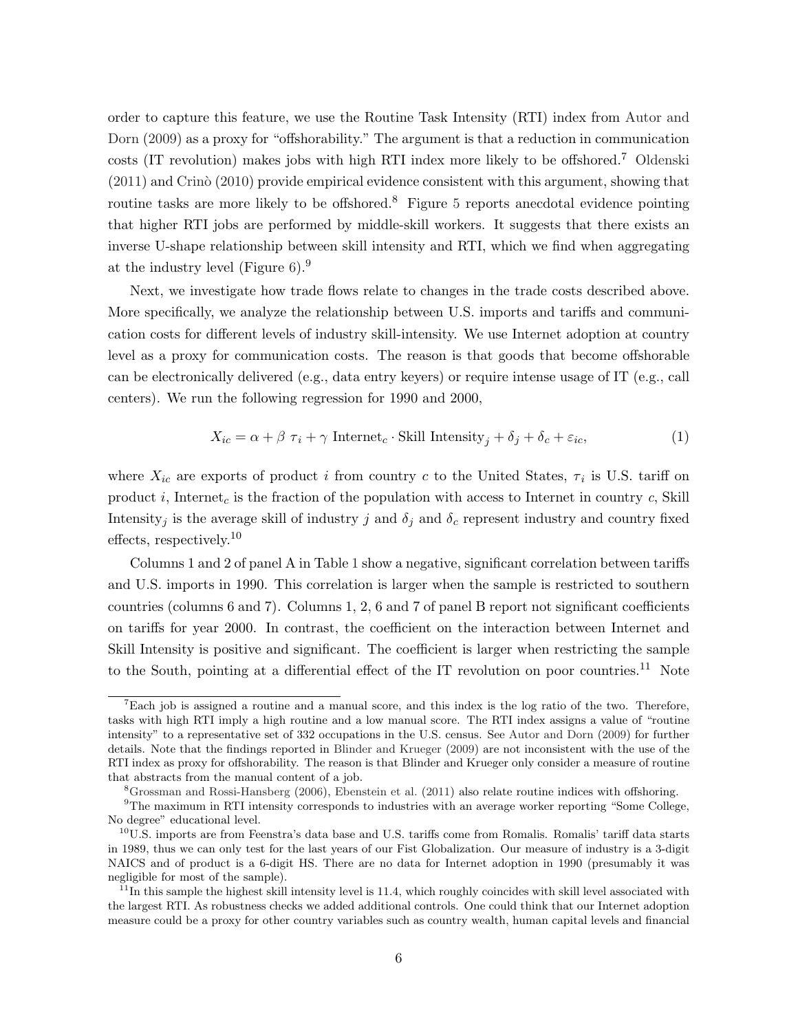orde[r to capture this feature, we use the Routine Task Intensity \(RTI\) index from](#page-22-0) Autor and Dorn [\(2009\)](#page-22-0) as a proxy for "offshorability." The argument is that a reduction in communication costs (IT revolution) makes jobs with high RTI index more likely to be offshored.<sup>7</sup> [Oldenski](#page-24-0)  $(2011)$  and Crino  $(2010)$  provide empirical evidence consistent with this argument, showing that routine tasks are more likely to be offshored.<sup>8</sup> Figure [5](#page-36-0) reports anecdotal evidence pointing that higher RTI jobs are performed by middle-skill workers. It suggests that there exists an inverse U-shape relationship between skill intensity and RTI, which we find when aggregating at the industry level (Figure  $6$ ).<sup>9</sup>

Next, we investigate how trade flows relate to changes in the trade costs described above. More specifically, we analyze the relationship between U.S. imports and tariffs and communication costs for different levels of industry skill-intensity. We use Internet adoption at country level as a proxy for communication costs. The reason is that goods that become offshorable can be electronically delivered (e.g., data entry keyers) or require intense usage of IT (e.g., call centers). We run the following regression for 1990 and 2000,

$$
X_{ic} = \alpha + \beta \tau_i + \gamma \text{ Internet}_c \cdot \text{Skill Intensity}_j + \delta_j + \delta_c + \varepsilon_{ic},\tag{1}
$$

where  $X_{ic}$  are exports of product i from country c to the United States,  $\tau_i$  is U.S. tariff on product i, Internet<sub>c</sub> is the fraction of the population with access to Internet in country c, Skill Intensity<sub>j</sub> is the average skill of industry j and  $\delta_j$  and  $\delta_c$  represent industry and country fixed effects, respectively.<sup>10</sup>

Columns 1 and 2 of panel A in Table [1](#page-32-0) show a negative, significant correlation between tariffs and U.S. imports in 1990. This correlation is larger when the sample is restricted to southern countries (columns 6 and 7). Columns 1, 2, 6 and 7 of panel B report not significant coefficients on tariffs for year 2000. In contrast, the coefficient on the interaction between Internet and Skill Intensity is positive and significant. The coefficient is larger when restricting the sample to the South, pointing at a differential effect of the IT revolution on poor countries.<sup>11</sup> Note

<sup>&</sup>lt;sup>7</sup>Each job is assigned a routine and a manual score, and this index is the log ratio of the two. Therefore, tasks with high RTI imply a high routine and a low manual score. The RTI index assigns a value of "routine intensity" to a representative set of 332 occupations in the U.S. census. See [Autor and Dorn](#page-22-0) [\(2009\)](#page-22-0) for further details. Note that the findings reported in [Blinder and Krueger](#page-22-0) [\(2009](#page-22-0)) are not inconsistent with the use of the RTI index as proxy for offshorability. The reason is that Blinder and Krueger only consider a measure of routine that abstracts from the manual content of a job.

<sup>8</sup>[Grossman and Rossi-Hansberg](#page-23-0) [\(2006\)](#page-23-0), [Ebenstein et al.](#page-23-0) [\(2011\)](#page-23-0) also relate routine indices with offshoring.

<sup>9</sup>The maximum in RTI intensity corresponds to industries with an average worker reporting "Some College, No degree" educational level.

<sup>10</sup>U.S. imports are from Feenstra's data base and U.S. tariffs come from Romalis. Romalis' tariff data starts in 1989, thus we can only test for the last years of our Fist Globalization. Our measure of industry is a 3-digit NAICS and of product is a 6-digit HS. There are no data for Internet adoption in 1990 (presumably it was negligible for most of the sample).

 $^{11}$ In this sample the highest skill intensity level is 11.4, which roughly coincides with skill level associated with the largest RTI. As robustness checks we added additional controls. One could think that our Internet adoption measure could be a proxy for other country variables such as country wealth, human capital levels and financial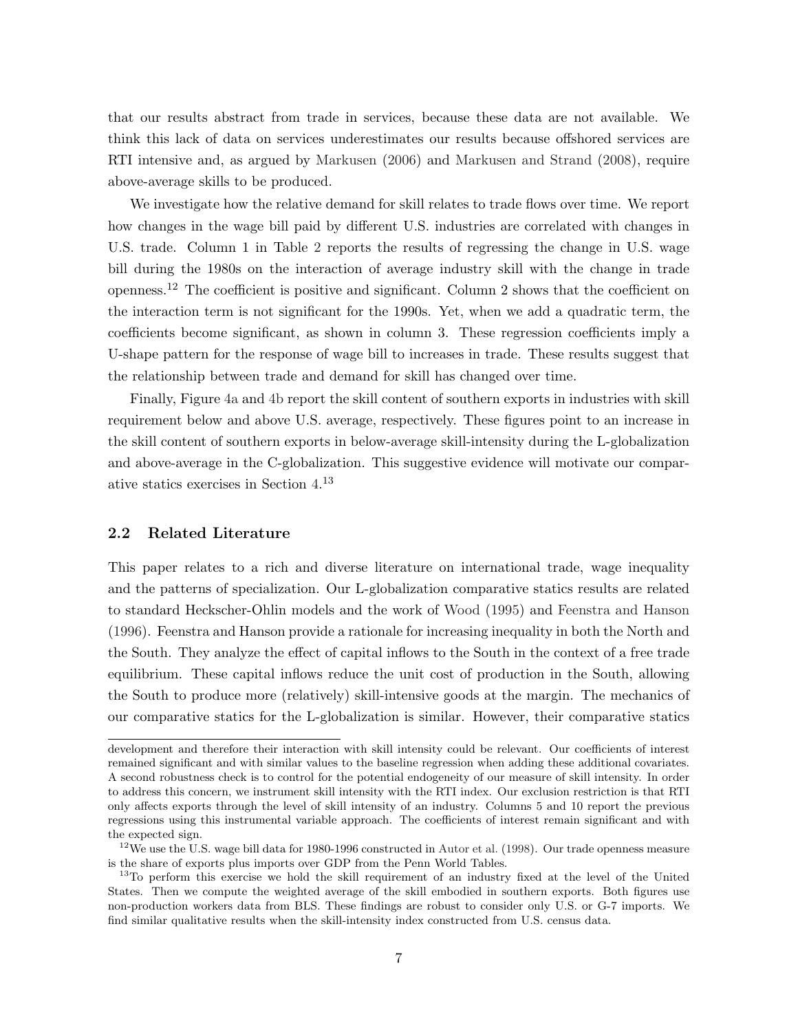that our results abstract from trade in services, because these data are not available. We think this lack of data on services underestimates our results because offshored services are RTI intensive and, as argued by [Markusen](#page-24-0) [\(2006](#page-24-0)) and [Markusen and Strand](#page-24-0) [\(2008\)](#page-24-0), require above-average skills to be produced.

We investigate how the relative demand for skill relates to trade flows over time. We report how changes in the wage bill paid by different U.S. industries are correlated with changes in U.S. trade. Column 1 in Table [2](#page-33-0) reports the results of regressing the change in U.S. wage bill during the 1980s on the interaction of average industry skill with the change in trade openness.<sup>12</sup> The coefficient is positive and significant. Column 2 shows that the coefficient on the interaction term is not significant for the 1990s. Yet, when we add a quadratic term, the coefficients become significant, as shown in column 3. These regression coefficients imply a U-shape pattern for the response of wage bill to increases in trade. These results suggest that the relationship between trade and demand for skill has changed over time.

Finally, Figure [4a](#page-36-0) and [4b](#page-36-0) report the skill content of southern exports in industries with skill requirement below and above U.S. average, respectively. These figures point to an increase in the skill content of southern exports in below-average skill-intensity during the L-globalization and above-average in the C-globalization. This suggestive evidence will motivate our comparative statics exercises in Section [4.](#page-11-0) 13

## 2.2 Related Literature

This paper relates to a rich and diverse literature on international trade, wage inequality and the patterns of specialization. Our L-globalization comparative statics results are related to standard Heckscher-Ohlin models and the work of [Wood](#page-25-0) [\(1995\)](#page-25-0) and [Feenstra and Hanson](#page-23-0) [\(1996\)](#page-23-0). Feenstra and Hanson provide a rationale for increasing inequality in both the North and the South. They analyze the effect of capital inflows to the South in the context of a free trade equilibrium. These capital inflows reduce the unit cost of production in the South, allowing the South to produce more (relatively) skill-intensive goods at the margin. The mechanics of our comparative statics for the L-globalization is similar. However, their comparative statics

development and therefore their interaction with skill intensity could be relevant. Our coefficients of interest remained significant and with similar values to the baseline regression when adding these additional covariates. A second robustness check is to control for the potential endogeneity of our measure of skill intensity. In order to address this concern, we instrument skill intensity with the RTI index. Our exclusion restriction is that RTI only affects exports through the level of skill intensity of an industry. Columns 5 and 10 report the previous regressions using this instrumental variable approach. The coefficients of interest remain significant and with the expected sign.

 $12$ We use the U.S. wage bill data for 1980-1996 constructed in [Autor et al.](#page-22-0) [\(1998\)](#page-22-0). Our trade openness measure is the share of exports plus imports over GDP from the Penn World Tables.

<sup>&</sup>lt;sup>13</sup>To perform this exercise we hold the skill requirement of an industry fixed at the level of the United States. Then we compute the weighted average of the skill embodied in southern exports. Both figures use non-production workers data from BLS. These findings are robust to consider only U.S. or G-7 imports. We find similar qualitative results when the skill-intensity index constructed from U.S. census data.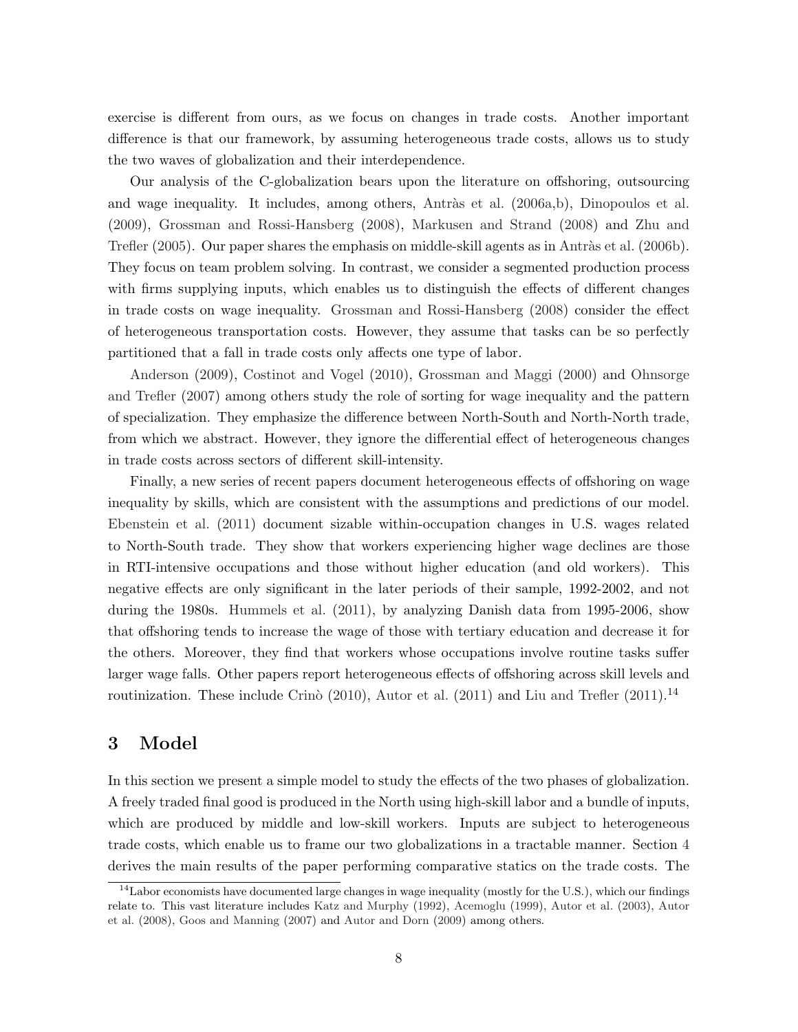<span id="page-8-0"></span>exercise is different from ours, as we focus on changes in trade costs. Another important difference is that our framework, by assuming heterogeneous trade costs, allows us to study the two waves of globalization and their interdependence.

Our analysis of the C-globalization bears upon the literature on offshoring, outsourcing and wage inequality. It includes, among others, Antràs et al.  $(2006a,b)$ , [Dinopoulos et al.](#page-23-0) [\(2009\)](#page-23-0), [Grossman and Rossi-Hansberg](#page-23-0) [\(2008](#page-23-0)), [Markusen and Strand](#page-24-0) [\(2008](#page-24-0)) and Zhu and Trefler  $(2005)$ . Our paper shares the emphasis on middle-skill agents as in Antràs et al.  $(2006b)$ . They focus on team problem solving. In contrast, we consider a segmented production process with firms supplying inputs, which enables us to distinguish the effects of different changes in trade costs on wage inequality. [Grossman and Rossi-Hansberg](#page-23-0) [\(2008](#page-23-0)) consider the effect of heterogeneous transportation costs. However, they assume that tasks can be so perfectly [partitioned th](#page-22-0)at a fall in trade costs only affects one type of labor.

Anderson [\(2009](#page-22-0)), [Costinot and Vogel](#page-23-0) [\(2010\)](#page-23-0), [Grossman and Maggi](#page-23-0) [\(2000](#page-23-0)) and Ohnsorge and Trefler [\(2007\)](#page-24-0) among others study the role of sorting for wage inequality and the pattern of specialization. They emphasize the difference between North-South and North-North trade, from which we abstract. However, they ignore the differential effect of heterogeneous changes in trade costs across sectors of different skill-intensity.

Finally, a new series of recent papers document heterogeneous effects of offshoring on wage inequality by skills, which are consistent with the assumptions and predictions of our model. [Ebenstein et al.](#page-23-0) [\(2011](#page-23-0)) document sizable within-occupation changes in U.S. wages related to North-South trade. They show that workers experiencing higher wage declines are those in RTI-intensive occupations and those without higher education (and old workers). This negative effects are only significant in the later periods of their sample, 1992-2002, and not during the 1980s. [Hummels et al.](#page-24-0) [\(2011](#page-24-0)), by analyzing Danish data from 1995-2006, show that offshoring tends to increase the wage of those with tertiary education and decrease it for the others. Moreover, they find that workers whose occupations involve routine tasks suffer larger wage falls. Other papers report heterogeneous effects of offshoring across skill levels and routinization. These include Crinò [\(2010](#page-23-0)), [Autor et al.](#page-22-0) [\(2011](#page-22-0)) and [Liu and Trefler](#page-24-0) [\(2011\)](#page-24-0).<sup>14</sup>

## 3 Model

In this section we present a simple model to study the effects of the two phases of globalization. A freely traded final good is produced in the North using high-skill labor and a bundle of inputs, which are produced by middle and low-skill workers. Inputs are subject to heterogeneous trade costs, which enable us to frame our two globalizations in a tractable manner. Section [4](#page-11-0) derives the main results of the paper performing comparative statics on the trade costs. The

 $14$ Labor economists have documented large changes in wage inequality (mostly for the U.S.), which our findings relat[e to. This vast literature includes](#page-22-0) [Katz and Murphy](#page-24-0) [\(1992](#page-24-0)), [Acemoglu](#page-22-0) [\(1999](#page-22-0)), [Autor et al.](#page-22-0) [\(2003\)](#page-22-0), Autor et al. [\(2008](#page-22-0)), [Goos and Manning](#page-23-0) [\(2007\)](#page-23-0) and [Autor and Dorn](#page-22-0) [\(2009](#page-22-0)) among others.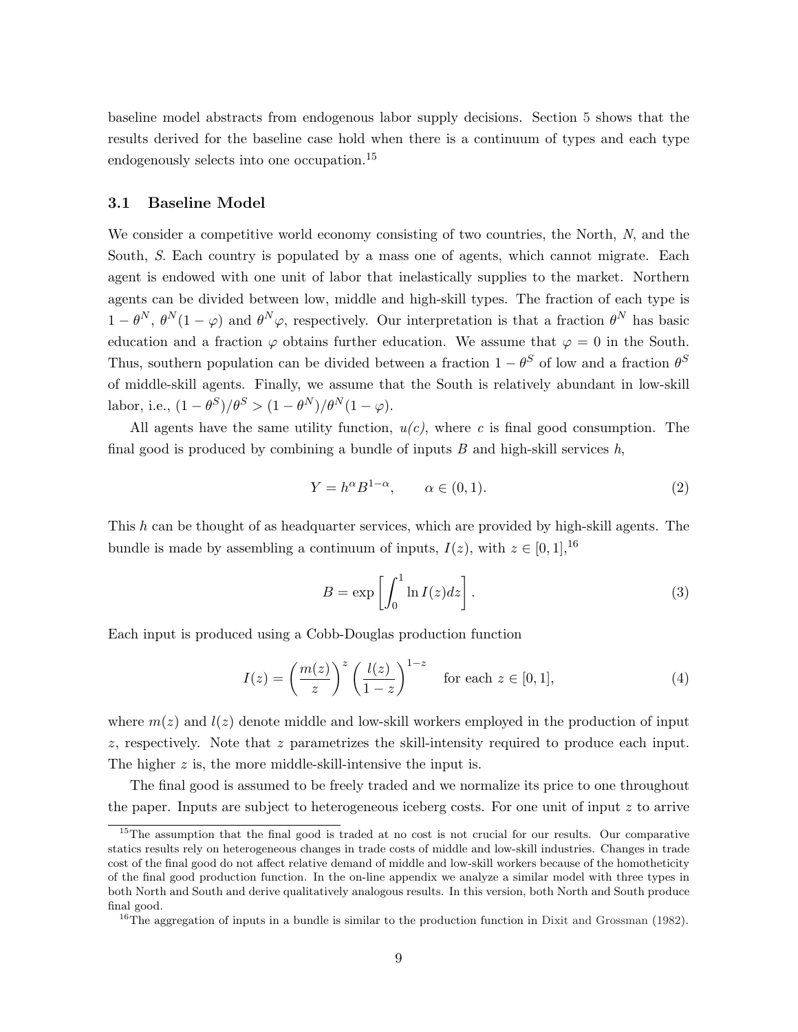baseline model abstracts from endogenous labor supply decisions. Section [5](#page-18-0) shows that the results derived for the baseline case hold when there is a continuum of types and each type endogenously selects into one occupation.<sup>15</sup>

### 3.1 Baseline Model

We consider a competitive world economy consisting of two countries, the North, N, and the South, S. Each country is populated by a mass one of agents, which cannot migrate. Each agent is endowed with one unit of labor that inelastically supplies to the market. Northern agents can be divided between low, middle and high-skill types. The fraction of each type is  $1-\theta^N$ ,  $\theta^N(1-\varphi)$  and  $\theta^N\varphi$ , respectively. Our interpretation is that a fraction  $\theta^N$  has basic education and a fraction  $\varphi$  obtains further education. We assume that  $\varphi = 0$  in the South. Thus, southern population can be divided between a fraction  $1 - \theta^S$  of low and a fraction  $\theta^S$ of middle-skill agents. Finally, we assume that the South is relatively abundant in low-skill labor, i.e.,  $(1 - \theta^S)/\theta^S > (1 - \theta^N)/\theta^N(1 - \varphi)$ .

All agents have the same utility function,  $u(c)$ , where c is final good consumption. The final good is produced by combining a bundle of inputs  $B$  and high-skill services  $h$ ,

$$
Y = h^{\alpha} B^{1-\alpha}, \qquad \alpha \in (0,1). \tag{2}
$$

This h can be thought of as headquarter services, which are provided by high-skill agents. The bundle is made by assembling a continuum of inputs,  $I(z)$ , with  $z \in [0, 1]$ , <sup>16</sup>

$$
B = \exp\left[\int_0^1 \ln I(z) dz\right].
$$
 (3)

Each input is produced using a Cobb-Douglas production function

$$
I(z) = \left(\frac{m(z)}{z}\right)^z \left(\frac{l(z)}{1-z}\right)^{1-z} \quad \text{for each } z \in [0,1],\tag{4}
$$

where  $m(z)$  and  $l(z)$  denote middle and low-skill workers employed in the production of input z, respectively. Note that z parametrizes the skill-intensity required to produce each input. The higher z is, the more middle-skill-intensive the input is.

The final good is assumed to be freely traded and we normalize its price to one throughout the paper. Inputs are subject to heterogeneous iceberg costs. For one unit of input z to arrive

<sup>&</sup>lt;sup>15</sup>The assumption that the final good is traded at no cost is not crucial for our results. Our comparative statics results rely on heterogeneous changes in trade costs of middle and low-skill industries. Changes in trade cost of the final good do not affect relative demand of middle and low-skill workers because of the homotheticity of the final good production function. In the on-line appendix we analyze a similar model with three types in both North and South and derive qualitatively analogous results. In this version, both North and South produce final good.

<sup>&</sup>lt;sup>16</sup>The aggregation of inputs in a bundle is similar to the production function in [Dixit and Grossman](#page-23-0) [\(1982\)](#page-23-0).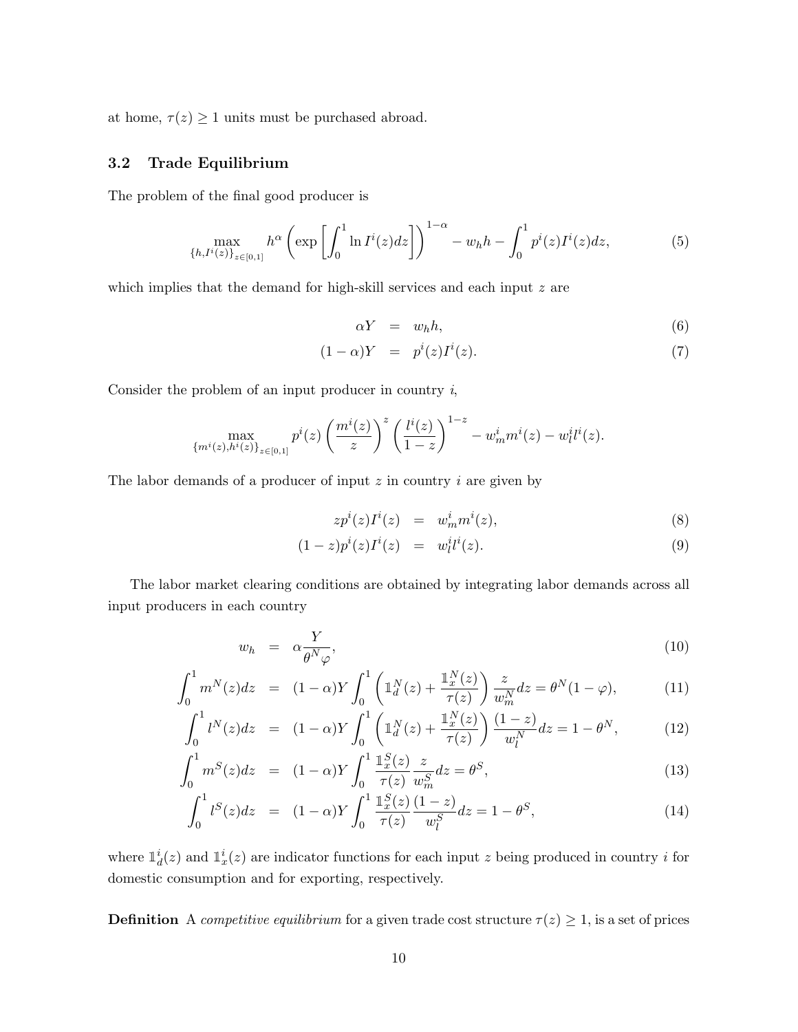<span id="page-10-0"></span>at home,  $\tau(z) \geq 1$  units must be purchased abroad.

## 3.2 Trade Equilibrium

The problem of the final good producer is

$$
\max_{\{h, I^i(z)\}_{z \in [0,1]}} h^{\alpha} \left( \exp \left[ \int_0^1 \ln I^i(z) dz \right] \right)^{1-\alpha} - w_h h - \int_0^1 p^i(z) I^i(z) dz, \tag{5}
$$

which implies that the demand for high-skill services and each input z are

$$
\alpha Y = w_h h,\tag{6}
$$

$$
(1 - \alpha)Y = p^i(z)I^i(z). \tag{7}
$$

Consider the problem of an input producer in country  $i$ ,

$$
\max_{\{m^{i}(z),h^{i}(z)\}_{z\in[0,1]}} p^{i}(z) \left(\frac{m^{i}(z)}{z}\right)^{z} \left(\frac{l^{i}(z)}{1-z}\right)^{1-z} - w_{m}^{i}m^{i}(z) - w_{l}^{i}l^{i}(z).
$$

The labor demands of a producer of input  $z$  in country  $i$  are given by

$$
zp^{i}(z)I^{i}(z) = w^{i}_{m}m^{i}(z), \qquad (8)
$$

$$
(1-z)p^{i}(z)I^{i}(z) = w_{l}^{i}l^{i}(z).
$$
\n(9)

The labor market clearing conditions are obtained by integrating labor demands across all input producers in each country

$$
w_h = \alpha \frac{Y}{\theta^N \varphi},\tag{10}
$$

$$
\int_0^1 m^N(z) dz = (1 - \alpha) Y \int_0^1 \left( \mathbb{1}_d^N(z) + \frac{\mathbb{1}_x^N(z)}{\tau(z)} \right) \frac{z}{w_m^N} dz = \theta^N (1 - \varphi), \tag{11}
$$

$$
\int_0^1 l^N(z)dz = (1-\alpha)Y \int_0^1 \left( \mathbb{1}_d^N(z) + \frac{\mathbb{1}_x^N(z)}{\tau(z)} \right) \frac{(1-z)}{w_l^N} dz = 1 - \theta^N,\tag{12}
$$

$$
\int_0^1 m^S(z)dz = (1-\alpha)Y \int_0^1 \frac{\mathbb{1}_x^S(z)}{\tau(z)} \frac{z}{w_m^S} dz = \theta^S,
$$
\n(13)

$$
\int_0^1 l^S(z)dz = (1-\alpha)Y \int_0^1 \frac{\mathbb{1}_x^S(z)}{\tau(z)} \frac{(1-z)}{w_l^S} dz = 1 - \theta^S,\tag{14}
$$

where  $\mathbb{I}_{d}^{i}(z)$  and  $\mathbb{I}_{x}^{i}(z)$  are indicator functions for each input z being produced in country i for domestic consumption and for exporting, respectively.

**Definition** A competitive equilibrium for a given trade cost structure  $\tau(z) \geq 1$ , is a set of prices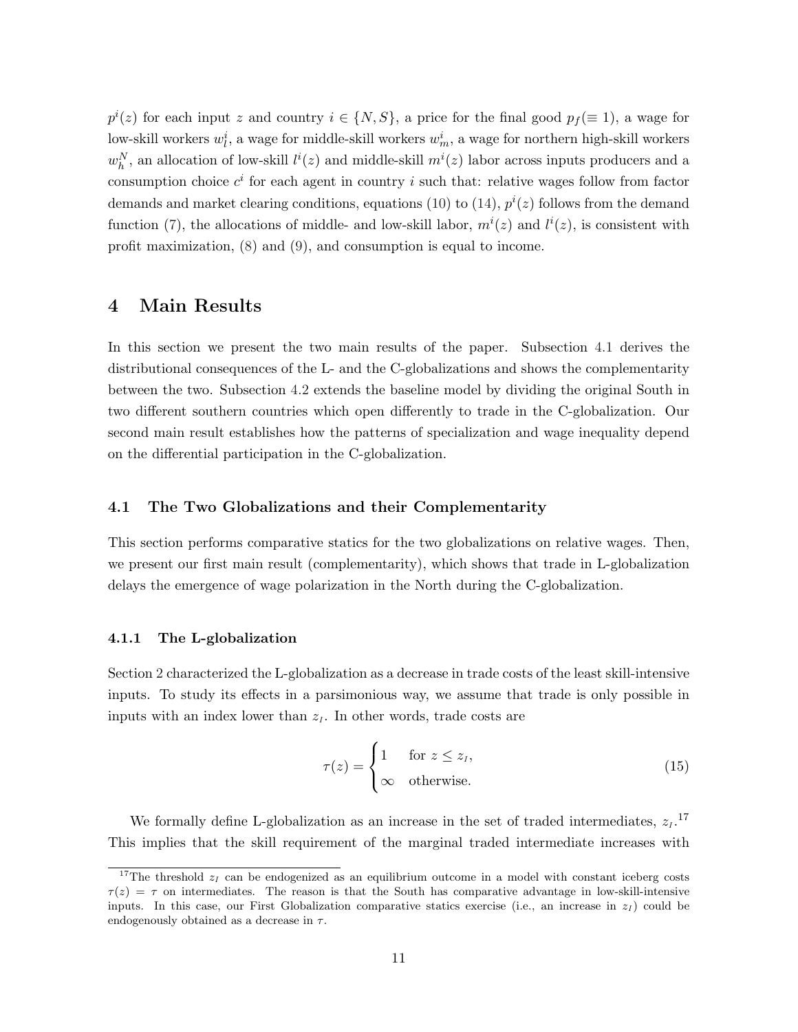<span id="page-11-0"></span> $p^{i}(z)$  for each input z and country  $i \in \{N, S\}$ , a price for the final good  $p_{f}(\equiv 1)$ , a wage for low-skill workers  $w_l^i$ , a wage for middle-skill workers  $w_m^i$ , a wage for northern high-skill workers  $w_h^N$ , an allocation of low-skill  $l^i(z)$  and middle-skill  $m^i(z)$  labor across inputs producers and a consumption choice  $c^i$  for each agent in country i such that: relative wages follow from factor demands and market clearing conditions, equations [\(10\)](#page-10-0) to [\(14\)](#page-10-0),  $p^{i}(z)$  follows from the demand function [\(7\)](#page-10-0), the allocations of middle- and low-skill labor,  $m^{i}(z)$  and  $l^{i}(z)$ , is consistent with profit maximization, [\(8\)](#page-10-0) and [\(9\)](#page-10-0), and consumption is equal to income.

## 4 Main Results

In this section we present the two main results of the paper. Subsection 4.1 derives the distributional consequences of the L- and the C-globalizations and shows the complementarity between the two. Subsection [4.2](#page-15-0) extends the baseline model by dividing the original South in two different southern countries which open differently to trade in the C-globalization. Our second main result establishes how the patterns of specialization and wage inequality depend on the differential participation in the C-globalization.

## 4.1 The Two Globalizations and their Complementarity

This section performs comparative statics for the two globalizations on relative wages. Then, we present our first main result (complementarity), which shows that trade in L-globalization delays the emergence of wage polarization in the North during the C-globalization.

#### 4.1.1 The L-globalization

Section [2](#page-4-0) characterized the L-globalization as a decrease in trade costs of the least skill-intensive inputs. To study its effects in a parsimonious way, we assume that trade is only possible in inputs with an index lower than  $z_I$ . In other words, trade costs are

$$
\tau(z) = \begin{cases} 1 & \text{for } z \le z_I, \\ \infty & \text{otherwise.} \end{cases} \tag{15}
$$

We formally define L-globalization as an increase in the set of traded intermediates,  $z_I$ <sup>17</sup> This implies that the skill requirement of the marginal traded intermediate increases with

<sup>&</sup>lt;sup>17</sup>The threshold  $z_I$  can be endogenized as an equilibrium outcome in a model with constant iceberg costs  $\tau(z) = \tau$  on intermediates. The reason is that the South has comparative advantage in low-skill-intensive inputs. In this case, our First Globalization comparative statics exercise (i.e., an increase in  $z<sub>I</sub>$ ) could be endogenously obtained as a decrease in  $\tau$ .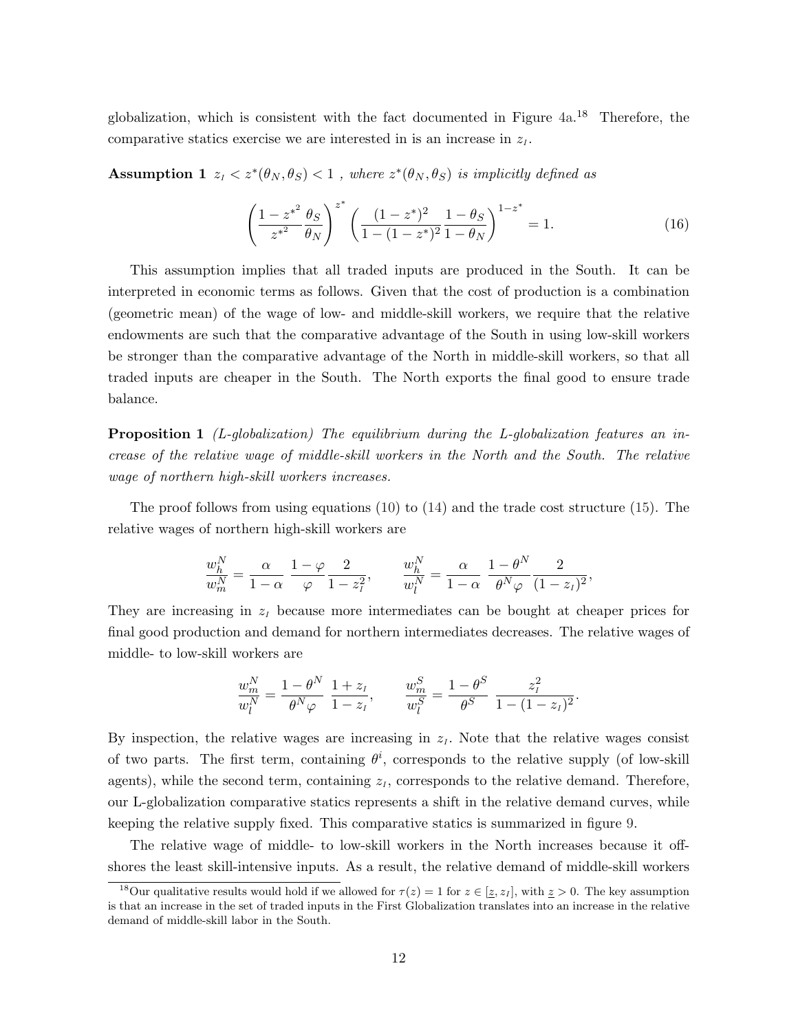<span id="page-12-0"></span>globalization, which is consistent with the fact documented in Figure [4a.](#page-36-0) <sup>18</sup> Therefore, the comparative statics exercise we are interested in is an increase in  $z<sub>I</sub>$ .

Assumption 1  $z_I < z^*(\theta_N, \theta_S) < 1$ , where  $z^*(\theta_N, \theta_S)$  is implicitly defined as

$$
\left(\frac{1-z^{*^2}}{z^{*^2}}\frac{\theta_S}{\theta_N}\right)^{z^*} \left(\frac{(1-z^*)^2}{1-(1-z^*)^2}\frac{1-\theta_S}{1-\theta_N}\right)^{1-z^*} = 1.
$$
\n(16)

This assumption implies that all traded inputs are produced in the South. It can be interpreted in economic terms as follows. Given that the cost of production is a combination (geometric mean) of the wage of low- and middle-skill workers, we require that the relative endowments are such that the comparative advantage of the South in using low-skill workers be stronger than the comparative advantage of the North in middle-skill workers, so that all traded inputs are cheaper in the South. The North exports the final good to ensure trade balance.

**Proposition 1** (*L*-globalization) The equilibrium during the *L*-globalization features an increase of the relative wage of middle-skill workers in the North and the South. The relative wage of northern high-skill workers increases.

The proof follows from using equations  $(10)$  to  $(14)$  and the trade cost structure  $(15)$ . The relative wages of northern high-skill workers are

$$
\frac{w_h^N}{w_m^N} = \frac{\alpha}{1-\alpha}\ \frac{1-\varphi}{\varphi}\frac{2}{1-z_l^2}, \qquad \frac{w_h^N}{w_l^N} = \frac{\alpha}{1-\alpha}\ \frac{1-\theta^N}{\theta^N\varphi}\frac{2}{(1-z_l)^2},
$$

They are increasing in  $z<sub>I</sub>$  because more intermediates can be bought at cheaper prices for final good production and demand for northern intermediates decreases. The relative wages of middle- to low-skill workers are

$$
\frac{w_m^N}{w_l^N} = \frac{1 - \theta^N}{\theta^N \varphi} \frac{1 + z_I}{1 - z_I}, \qquad \frac{w_m^S}{w_l^S} = \frac{1 - \theta^S}{\theta^S} \frac{z_I^2}{1 - (1 - z_I)^2}
$$

.

By inspection, the relative wages are increasing in  $z_I$ . Note that the relative wages consist of two parts. The first term, containing  $\theta^i$ , corresponds to the relative supply (of low-skill agents), while the second term, containing  $z_I$ , corresponds to the relative demand. Therefore, our L-globalization comparative statics represents a shift in the relative demand curves, while keeping the relative supply fixed. This comparative statics is summarized in figure [9.](#page-38-0)

The relative wage of middle- to low-skill workers in the North increases because it offshores the least skill-intensive inputs. As a result, the relative demand of middle-skill workers

<sup>&</sup>lt;sup>18</sup>Our qualitative results would hold if we allowed for  $\tau(z) = 1$  for  $z \in [\underline{z}, z_I]$ , with  $\underline{z} > 0$ . The key assumption is that an increase in the set of traded inputs in the First Globalization translates into an increase in the relative demand of middle-skill labor in the South.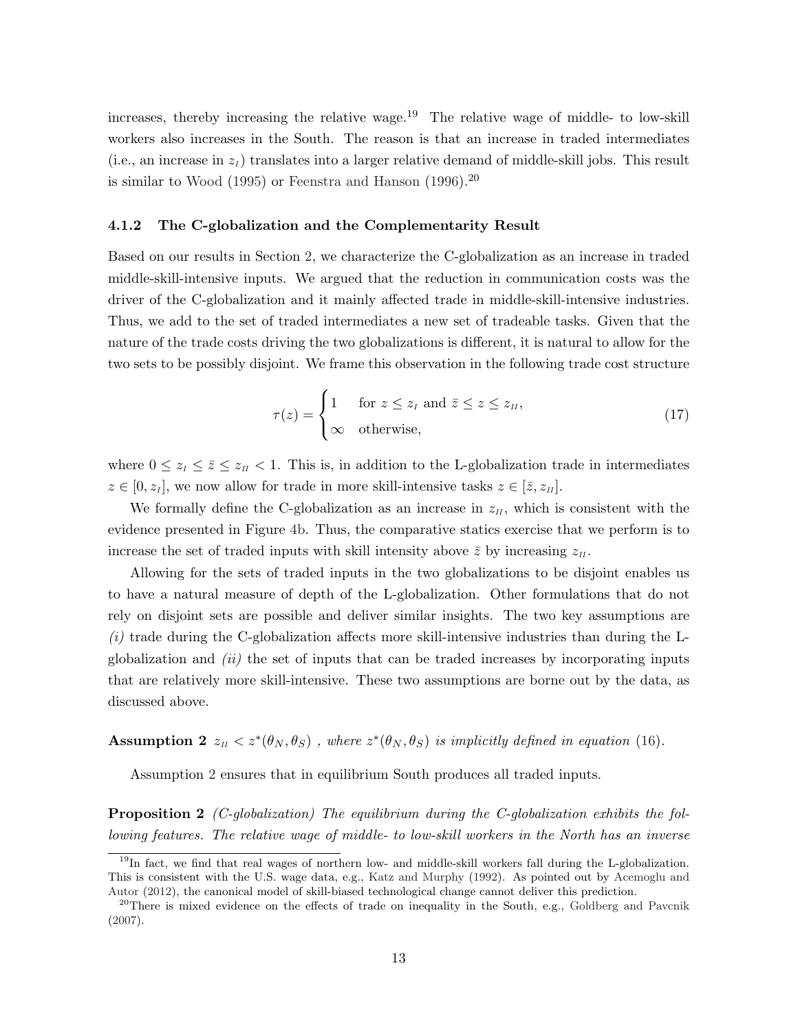<span id="page-13-0"></span>increases, thereby increasing the relative wage.<sup>19</sup> The relative wage of middle- to low-skill workers also increases in the South. The reason is that an increase in traded intermediates (i.e., an increase in  $z<sub>I</sub>$ ) translates into a larger relative demand of middle-skill jobs. This result is similar to [Wood](#page-25-0) [\(1995](#page-25-0)) or [Feenstra and Hanson](#page-23-0) [\(1996](#page-23-0)).<sup>20</sup>

#### 4.1.2 The C-globalization and the Complementarity Result

Based on our results in Section [2,](#page-4-0) we characterize the C-globalization as an increase in traded middle-skill-intensive inputs. We argued that the reduction in communication costs was the driver of the C-globalization and it mainly affected trade in middle-skill-intensive industries. Thus, we add to the set of traded intermediates a new set of tradeable tasks. Given that the nature of the trade costs driving the two globalizations is different, it is natural to allow for the two sets to be possibly disjoint. We frame this observation in the following trade cost structure

$$
\tau(z) = \begin{cases} 1 & \text{for } z \le z_I \text{ and } \bar{z} \le z \le z_{II}, \\ \infty & \text{otherwise,} \end{cases} \tag{17}
$$

where  $0 \leq z_I \leq \bar{z} \leq z_{II} < 1$ . This is, in addition to the L-globalization trade in intermediates  $z \in [0, z_I],$  we now allow for trade in more skill-intensive tasks  $z \in [\bar{z}, z_{II}].$ 

We formally define the C-globalization as an increase in  $z_{II}$ , which is consistent with the evidence presented in Figure [4b.](#page-36-0) Thus, the comparative statics exercise that we perform is to increase the set of traded inputs with skill intensity above  $\bar{z}$  by increasing  $z_{II}$ .

Allowing for the sets of traded inputs in the two globalizations to be disjoint enables us to have a natural measure of depth of the L-globalization. Other formulations that do not rely on disjoint sets are possible and deliver similar insights. The two key assumptions are  $(i)$  trade during the C-globalization affects more skill-intensive industries than during the Lglobalization and  $(ii)$  the set of inputs that can be traded increases by incorporating inputs that are relatively more skill-intensive. These two assumptions are borne out by the data, as discussed above.

**Assumption 2**  $z_{II} < z^*(\theta_N, \theta_S)$ , where  $z^*(\theta_N, \theta_S)$  is implicitly defined in equation [\(16\)](#page-12-0).

Assumption 2 ensures that in equilibrium South produces all traded inputs.

Proposition 2 (C-globalization) The equilibrium during the C-globalization exhibits the following features. The relative wage of middle- to low-skill workers in the North has an inverse

<sup>&</sup>lt;sup>19</sup>In fact, we find that real wages of northern low- and middle-skill workers fall during the L-globalization. Thisi[s consistent with the U.S. wage data, e.g.,](#page-22-0) [Katz and Murphy](#page-24-0) [\(1992\)](#page-24-0). As pointed out by Acemoglu and Autor [\(2012\)](#page-22-0), the canonical model of skill-biased technological change cannot deliver this prediction.

<sup>&</sup>lt;sup>20</sup>There is mixed evidence on the effects of trade on inequality in the South, e.g., [Goldberg and Pavcnik](#page-23-0) [\(2007\)](#page-23-0).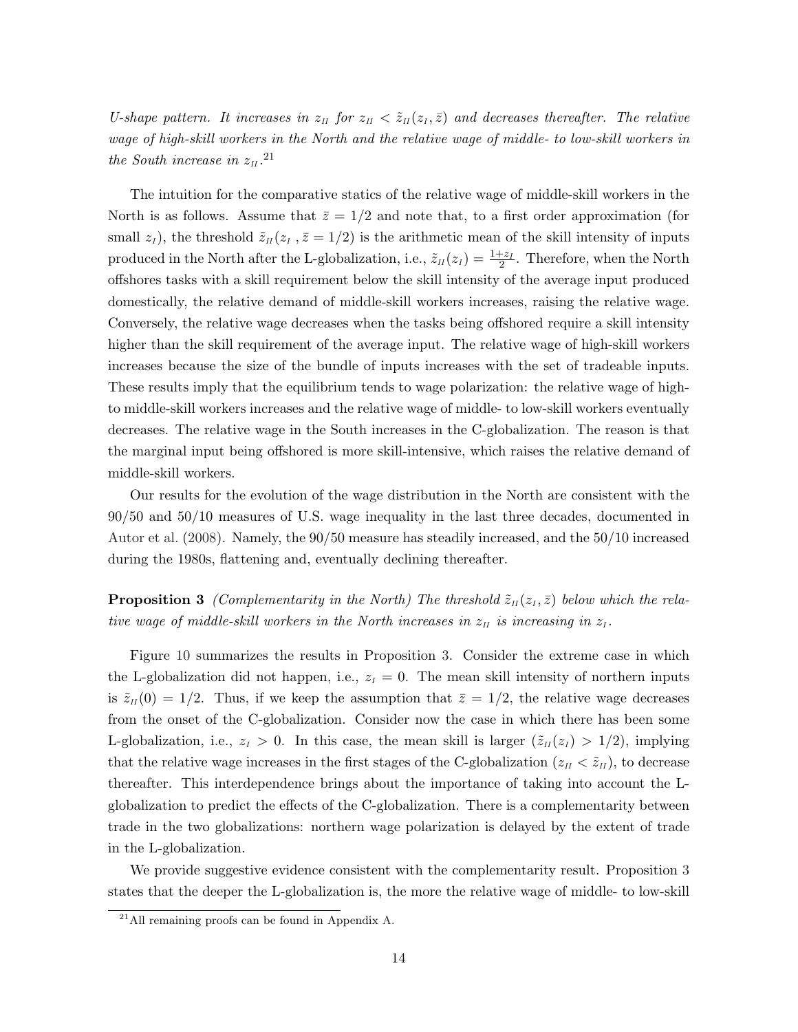<span id="page-14-0"></span>U-shape pattern. It increases in  $z_{II}$  for  $z_{II} < \tilde{z}_{II}(z_I, \bar{z})$  and decreases thereafter. The relative wage of high-skill workers in the North and the relative wage of middle- to low-skill workers in the South increase in  $z_{II}$ .<sup>21</sup>

The intuition for the comparative statics of the relative wage of middle-skill workers in the North is as follows. Assume that  $\bar{z} = 1/2$  and note that, to a first order approximation (for small  $z<sub>I</sub>$ ), the threshold  $\tilde{z}_{II}(z<sub>I</sub>, \bar{z} = 1/2)$  is the arithmetic mean of the skill intensity of inputs produced in the North after the L-globalization, i.e.,  $\tilde{z}_{II}(z_I) = \frac{1+z_I}{2}$ . Therefore, when the North offshores tasks with a skill requirement below the skill intensity of the average input produced domestically, the relative demand of middle-skill workers increases, raising the relative wage. Conversely, the relative wage decreases when the tasks being offshored require a skill intensity higher than the skill requirement of the average input. The relative wage of high-skill workers increases because the size of the bundle of inputs increases with the set of tradeable inputs. These results imply that the equilibrium tends to wage polarization: the relative wage of highto middle-skill workers increases and the relative wage of middle- to low-skill workers eventually decreases. The relative wage in the South increases in the C-globalization. The reason is that the marginal input being offshored is more skill-intensive, which raises the relative demand of middle-skill workers.

Our results for the evolution of the wage distribution in the North are consistent with the 90/50 and 50/10 measures of U.S. wage inequality in the last three decades, documented in [Autor et al.](#page-22-0) [\(2008](#page-22-0)). Namely, the 90/50 measure has steadily increased, and the 50/10 increased during the 1980s, flattening and, eventually declining thereafter.

**Proposition 3** (Complementarity in the North) The threshold  $\tilde{z}_{II}(z_I, \bar{z})$  below which the relative wage of middle-skill workers in the North increases in  $z<sub>II</sub>$  is increasing in  $z<sub>I</sub>$ .

Figure [10](#page-39-0) summarizes the results in Proposition 3. Consider the extreme case in which the L-globalization did not happen, i.e.,  $z<sub>I</sub> = 0$ . The mean skill intensity of northern inputs is  $\tilde{z}_{II}(0) = 1/2$ . Thus, if we keep the assumption that  $\bar{z} = 1/2$ , the relative wage decreases from the onset of the C-globalization. Consider now the case in which there has been some L-globalization, i.e.,  $z_I > 0$ . In this case, the mean skill is larger  $(\tilde{z}_{II}(z_I) > 1/2)$ , implying that the relative wage increases in the first stages of the C-globalization  $(z_{II} < \tilde{z}_{II})$ , to decrease thereafter. This interdependence brings about the importance of taking into account the Lglobalization to predict the effects of the C-globalization. There is a complementarity between trade in the two globalizations: northern wage polarization is delayed by the extent of trade in the L-globalization.

We provide suggestive evidence consistent with the complementarity result. Proposition 3 states that the deeper the L-globalization is, the more the relative wage of middle- to low-skill

<sup>21</sup>All remaining proofs can be found in Appendix [A.](#page-26-0)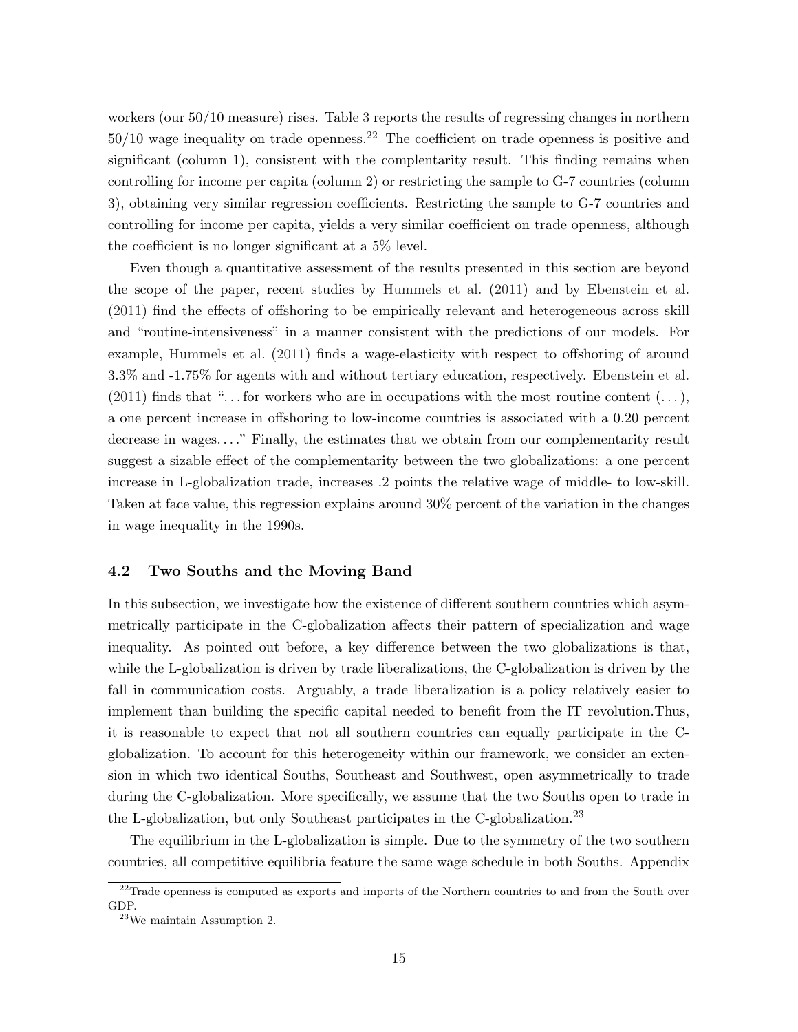<span id="page-15-0"></span>workers (our 50/10 measure) rises. Table [3](#page-33-0) reports the results of regressing changes in northern  $50/10$  wage inequality on trade openness.<sup>22</sup> The coefficient on trade openness is positive and significant (column 1), consistent with the complentarity result. This finding remains when controlling for income per capita (column 2) or restricting the sample to G-7 countries (column 3), obtaining very similar regression coefficients. Restricting the sample to G-7 countries and controlling for income per capita, yields a very similar coefficient on trade openness, although the coefficient is no longer significant at a 5% level.

Even though a quantitative assessment of the results presented in this section are beyond the scope of the paper, recent studies by [Hummels et al.](#page-24-0) [\(2011](#page-24-0)) and by [Ebenstein et al.](#page-23-0) [\(2011\)](#page-23-0) find the effects of offshoring to be empirically relevant and heterogeneous across skill and "routine-intensiveness" in a manner consistent with the predictions of our models. For example, [Hummels et al.](#page-24-0) [\(2011](#page-24-0)) finds a wage-elasticity with respect to offshoring of around 3.3% and -1.75% for agents with and without tertiary education, respectively. [Ebenstein et al.](#page-23-0) [\(2011\)](#page-23-0) finds that " $\dots$  for workers who are in occupations with the most routine content  $(\dots)$ , a one percent increase in offshoring to low-income countries is associated with a 0.20 percent decrease in wages. . . ." Finally, the estimates that we obtain from our complementarity result suggest a sizable effect of the complementarity between the two globalizations: a one percent increase in L-globalization trade, increases .2 points the relative wage of middle- to low-skill. Taken at face value, this regression explains around 30% percent of the variation in the changes in wage inequality in the 1990s.

### 4.2 Two Souths and the Moving Band

In this subsection, we investigate how the existence of different southern countries which asymmetrically participate in the C-globalization affects their pattern of specialization and wage inequality. As pointed out before, a key difference between the two globalizations is that, while the L-globalization is driven by trade liberalizations, the C-globalization is driven by the fall in communication costs. Arguably, a trade liberalization is a policy relatively easier to implement than building the specific capital needed to benefit from the IT revolution.Thus, it is reasonable to expect that not all southern countries can equally participate in the Cglobalization. To account for this heterogeneity within our framework, we consider an extension in which two identical Souths, Southeast and Southwest, open asymmetrically to trade during the C-globalization. More specifically, we assume that the two Souths open to trade in the L-globalization, but only Southeast participates in the C-globalization.<sup>23</sup>

The equilibrium in the L-globalization is simple. Due to the symmetry of the two southern countries, all competitive equilibria feature the same wage schedule in both Souths. Appendix

 $22$ Trade openness is computed as exports and imports of the Northern countries to and from the South over GDP.

<sup>23</sup>We maintain Assumption [2.](#page-13-0)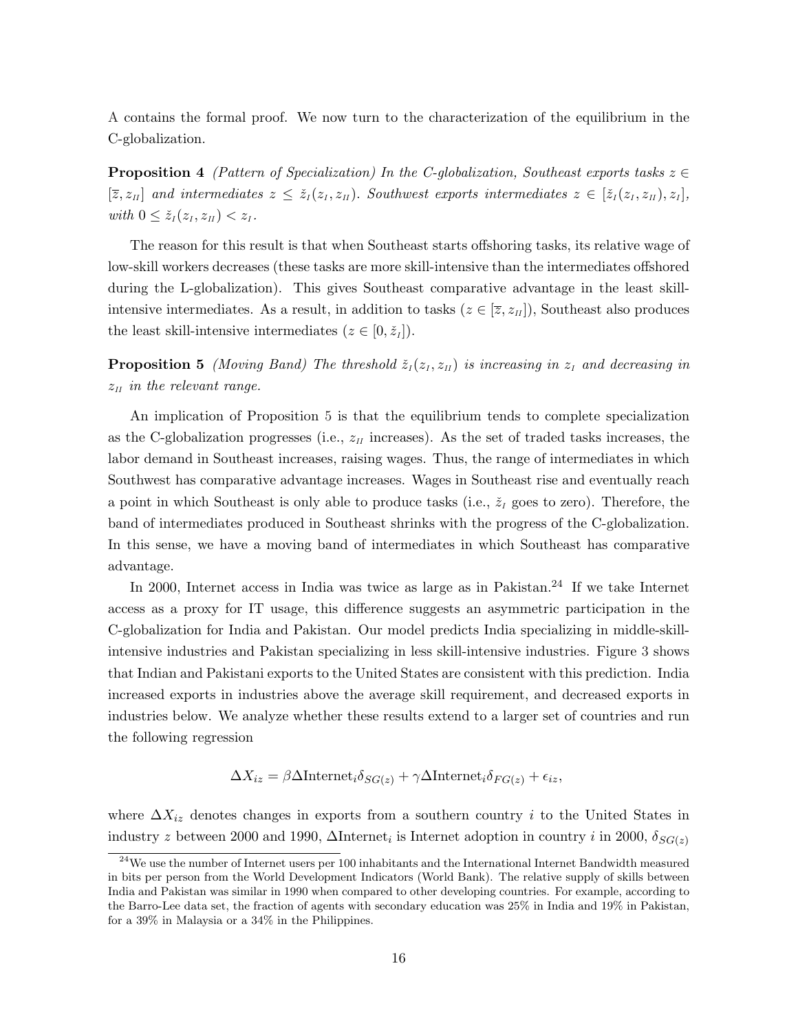<span id="page-16-0"></span>[A](#page-26-0) contains the formal proof. We now turn to the characterization of the equilibrium in the C-globalization.

**Proposition 4** (Pattern of Specialization) In the C-globalization, Southeast exports tasks  $z \in \mathbb{R}$  $[\overline{z}, z_{II}]$  and intermediates  $z \leq \check{z}_I(z_I, z_{II})$ . Southwest exports intermediates  $z \in [\check{z}_I(z_I, z_{II}), z_I],$ with  $0 \le \tilde{z}_I(z_I, z_{II}) < z_I$ .

The reason for this result is that when Southeast starts offshoring tasks, its relative wage of low-skill workers decreases (these tasks are more skill-intensive than the intermediates offshored during the L-globalization). This gives Southeast comparative advantage in the least skillintensive intermediates. As a result, in addition to tasks  $(z \in [\overline{z}, z_{II}])$ , Southeast also produces the least skill-intensive intermediates  $(z \in [0, \check{z}_I]).$ 

**Proposition 5** (Moving Band) The threshold  $\check{z}_I(z_I, z_{II})$  is increasing in  $z_I$  and decreasing in  $z_{II}$  in the relevant range.

An implication of Proposition 5 is that the equilibrium tends to complete specialization as the C-globalization progresses (i.e.,  $z_{II}$  increases). As the set of traded tasks increases, the labor demand in Southeast increases, raising wages. Thus, the range of intermediates in which Southwest has comparative advantage increases. Wages in Southeast rise and eventually reach a point in which Southeast is only able to produce tasks (i.e.,  $\check{z}_I$  goes to zero). Therefore, the band of intermediates produced in Southeast shrinks with the progress of the C-globalization. In this sense, we have a moving band of intermediates in which Southeast has comparative advantage.

In 2000, Internet access in India was twice as large as in Pakistan.<sup>24</sup> If we take Internet access as a proxy for IT usage, this difference suggests an asymmetric participation in the C-globalization for India and Pakistan. Our model predicts India specializing in middle-skillintensive industries and Pakistan specializing in less skill-intensive industries. Figure [3](#page-35-0) shows that Indian and Pakistani exports to the United States are consistent with this prediction. India increased exports in industries above the average skill requirement, and decreased exports in industries below. We analyze whether these results extend to a larger set of countries and run the following regression

$$
\Delta X_{iz} = \beta \Delta \text{Internet}_{i} \delta_{SG(z)} + \gamma \Delta \text{Internet}_{i} \delta_{FG(z)} + \epsilon_{iz},
$$

where  $\Delta X_{iz}$  denotes changes in exports from a southern country i to the United States in industry z between 2000 and 1990,  $\Delta$ Internet<sub>i</sub> is Internet adoption in country *i* in 2000,  $\delta_{SG(z)}$ 

 $24$ We use the number of Internet users per 100 inhabitants and the International Internet Bandwidth measured in bits per person from the World Development Indicators (World Bank). The relative supply of skills between India and Pakistan was similar in 1990 when compared to other developing countries. For example, according to the Barro-Lee data set, the fraction of agents with secondary education was 25% in India and 19% in Pakistan, for a 39% in Malaysia or a 34% in the Philippines.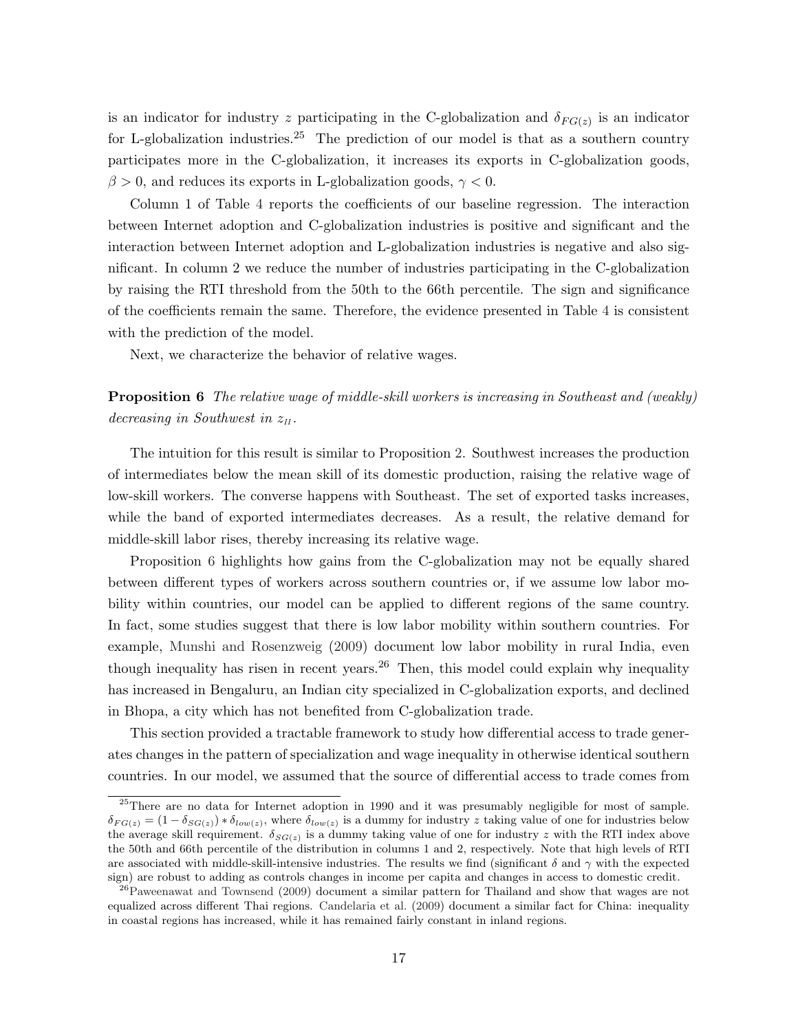<span id="page-17-0"></span>is an indicator for industry z participating in the C-globalization and  $\delta_{FG(z)}$  is an indicator for L-globalization industries.<sup>25</sup> The prediction of our model is that as a southern country participates more in the C-globalization, it increases its exports in C-globalization goods,  $\beta > 0$ , and reduces its exports in L-globalization goods,  $\gamma < 0$ .

Column 1 of Table [4](#page-34-0) reports the coefficients of our baseline regression. The interaction between Internet adoption and C-globalization industries is positive and significant and the interaction between Internet adoption and L-globalization industries is negative and also significant. In column 2 we reduce the number of industries participating in the C-globalization by raising the RTI threshold from the 50th to the 66th percentile. The sign and significance of the coefficients remain the same. Therefore, the evidence presented in Table [4](#page-34-0) is consistent with the prediction of the model.

Next, we characterize the behavior of relative wages.

**Proposition 6** The relative wage of middle-skill workers is increasing in Southeast and (weakly) decreasing in Southwest in  $z_{II}$ .

The intuition for this result is similar to Proposition [2.](#page-13-0) Southwest increases the production of intermediates below the mean skill of its domestic production, raising the relative wage of low-skill workers. The converse happens with Southeast. The set of exported tasks increases, while the band of exported intermediates decreases. As a result, the relative demand for middle-skill labor rises, thereby increasing its relative wage.

Proposition 6 highlights how gains from the C-globalization may not be equally shared between different types of workers across southern countries or, if we assume low labor mobility within countries, our model can be applied to different regions of the same country. In fact, some studies suggest that there is low labor mobility within southern countries. For example, [Munshi and Rosenzweig](#page-24-0) [\(2009](#page-24-0)) document low labor mobility in rural India, even though inequality has risen in recent years.<sup>26</sup> Then, this model could explain why inequality has increased in Bengaluru, an Indian city specialized in C-globalization exports, and declined in Bhopa, a city which has not benefited from C-globalization trade.

This section provided a tractable framework to study how differential access to trade generates changes in the pattern of specialization and wage inequality in otherwise identical southern countries. In our model, we assumed that the source of differential access to trade comes from

<sup>&</sup>lt;sup>25</sup>There are no data for Internet adoption in 1990 and it was presumably negligible for most of sample.  $\delta_{FG(z)} = (1 - \delta_{SG(z)}) * \delta_{low(z)}$ , where  $\delta_{low(z)}$  is a dummy for industry z taking value of one for industries below the average skill requirement.  $\delta_{SG(z)}$  is a dummy taking value of one for industry z with the RTI index above the 50th and 66th percentile of the distribution in columns 1 and 2, respectively. Note that high levels of RTI are associated with middle-skill-intensive industries. The results we find (significant  $\delta$  and  $\gamma$  with the expected sign) are robust to adding as controls changes in income per capita and changes in access to domestic credit.

 $^{26}$ [Paweenawat and Townsend](#page-24-0) [\(2009\)](#page-24-0) document a similar pattern for Thailand and show that wages are not equalized across different Thai regions. [Candelaria et al.](#page-23-0) [\(2009\)](#page-23-0) document a similar fact for China: inequality in coastal regions has increased, while it has remained fairly constant in inland regions.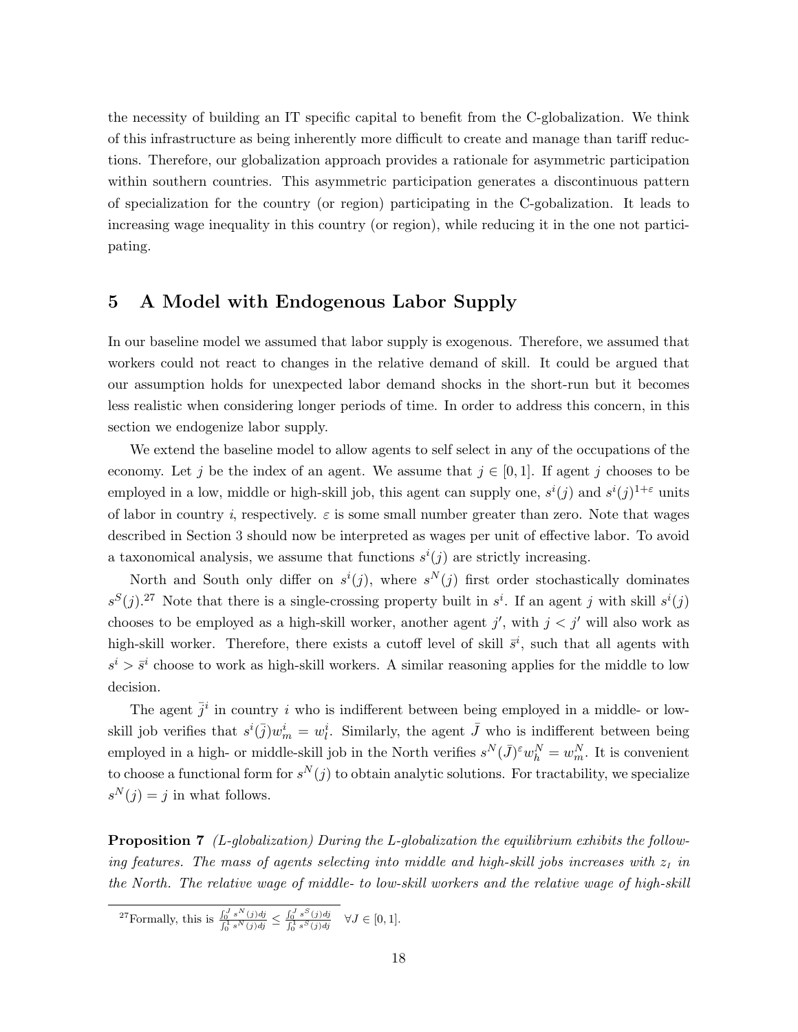<span id="page-18-0"></span>the necessity of building an IT specific capital to benefit from the C-globalization. We think of this infrastructure as being inherently more difficult to create and manage than tariff reductions. Therefore, our globalization approach provides a rationale for asymmetric participation within southern countries. This asymmetric participation generates a discontinuous pattern of specialization for the country (or region) participating in the C-gobalization. It leads to increasing wage inequality in this country (or region), while reducing it in the one not participating.

## 5 A Model with Endogenous Labor Supply

In our baseline model we assumed that labor supply is exogenous. Therefore, we assumed that workers could not react to changes in the relative demand of skill. It could be argued that our assumption holds for unexpected labor demand shocks in the short-run but it becomes less realistic when considering longer periods of time. In order to address this concern, in this section we endogenize labor supply.

We extend the baseline model to allow agents to self select in any of the occupations of the economy. Let j be the index of an agent. We assume that  $j \in [0,1]$ . If agent j chooses to be employed in a low, middle or high-skill job, this agent can supply one,  $s^i(j)$  and  $s^i(j)^{1+\varepsilon}$  units of labor in country i, respectively.  $\varepsilon$  is some small number greater than zero. Note that wages described in Section [3](#page-8-0) should now be interpreted as wages per unit of effective labor. To avoid a taxonomical analysis, we assume that functions  $s^i(j)$  are strictly increasing.

North and South only differ on  $s^{i}(j)$ , where  $s^{N}(j)$  first order stochastically dominates  $s^{S}(j)$ .<sup>27</sup> Note that there is a single-crossing property built in  $s^{i}$ . If an agent j with skill  $s^{i}(j)$ chooses to be employed as a high-skill worker, another agent j', with  $j < j'$  will also work as high-skill worker. Therefore, there exists a cutoff level of skill  $\bar{s}^i$ , such that all agents with  $s^i > \bar{s}^i$  choose to work as high-skill workers. A similar reasoning applies for the middle to low decision.

The agent  $\bar{j}^i$  in country i who is indifferent between being employed in a middle- or lowskill job verifies that  $s^i(\bar{j})w^i_m = w^i_l$ . Similarly, the agent  $\bar{J}$  who is indifferent between being employed in a high- or middle-skill job in the North verifies  $s^N(\bar{J})^{\varepsilon}w_h^N = w_m^N$ . It is convenient to choose a functional form for  $s^N(j)$  to obtain analytic solutions. For tractability, we specialize  $s^N(j) = j$  in what follows.

**Proposition 7** (*L*-globalization) During the *L*-globalization the equilibrium exhibits the following features. The mass of agents selecting into middle and high-skill jobs increases with  $z<sub>1</sub>$  in the North. The relative wage of middle- to low-skill workers and the relative wage of high-skill

<sup>27</sup>Formally, this is  $\frac{\int_0^J s^N(j)dj}{\int_0^1 s^N(j)dj}$  $\frac{\int_{0}^{J} s^{N}(j)dj}{\int_{0}^{1} s^{N}(j)dj} \leq \frac{\int_{0}^{J} s^{S}(j)dj}{\int_{0}^{1} s^{S}(j)dj}$  $\frac{\int_0^1 s^S(j)dy}{\int_0^1 s^S(j)dj}$   $\forall J \in [0,1].$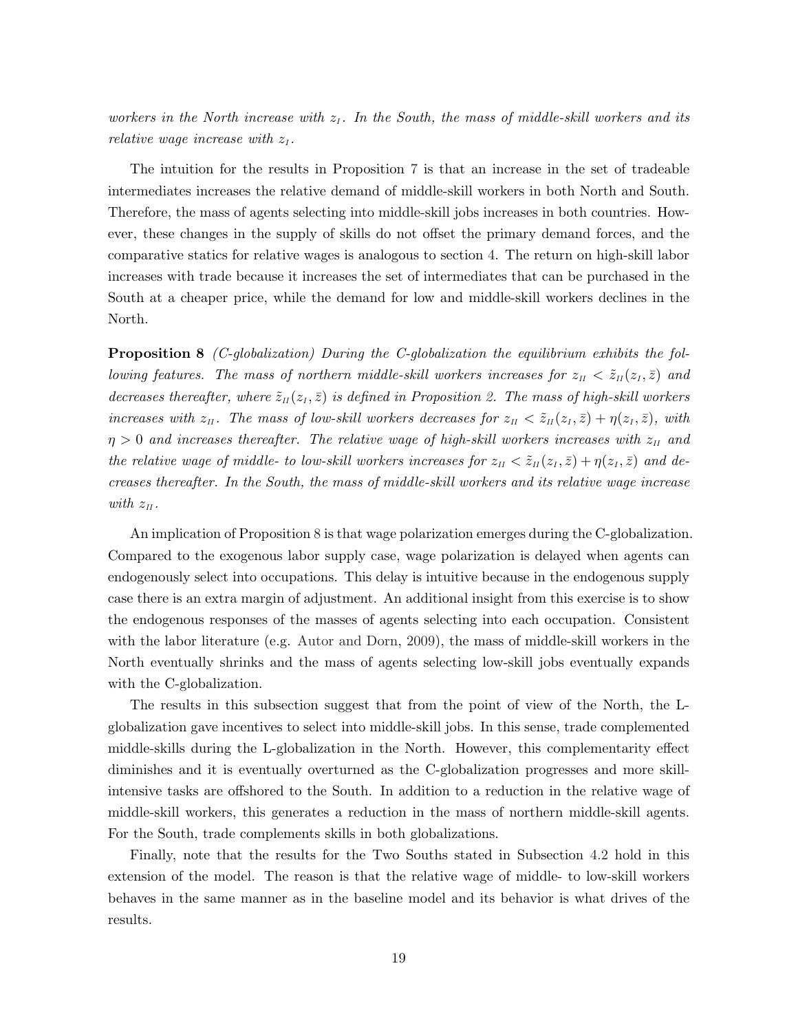<span id="page-19-0"></span>workers in the North increase with  $z<sub>1</sub>$ . In the South, the mass of middle-skill workers and its relative wage increase with  $z_I$ .

The intuition for the results in Proposition [7](#page-18-0) is that an increase in the set of tradeable intermediates increases the relative demand of middle-skill workers in both North and South. Therefore, the mass of agents selecting into middle-skill jobs increases in both countries. However, these changes in the supply of skills do not offset the primary demand forces, and the comparative statics for relative wages is analogous to section [4.](#page-11-0) The return on high-skill labor increases with trade because it increases the set of intermediates that can be purchased in the South at a cheaper price, while the demand for low and middle-skill workers declines in the North.

Proposition 8 (C-globalization) During the C-globalization the equilibrium exhibits the following features. The mass of northern middle-skill workers increases for  $z_{II} < \tilde{z}_{II}(z_I, \bar{z})$  and decreases thereafter, where  $\tilde{z}_{II}(z_I, \bar{z})$  is defined in Proposition [2.](#page-13-0) The mass of high-skill workers increases with  $z_{II}$ . The mass of low-skill workers decreases for  $z_{II} < \tilde{z}_{II}(z_I, \bar{z}) + \eta(z_I, \bar{z})$ , with  $\eta > 0$  and increases thereafter. The relative wage of high-skill workers increases with  $z_{II}$  and the relative wage of middle- to low-skill workers increases for  $z_{II} < \tilde{z}_{II}(z_I, \bar{z}) + \eta(z_I, \bar{z})$  and decreases thereafter. In the South, the mass of middle-skill workers and its relative wage increase with  $z_{II}$ .

An implication of Proposition 8 is that wage polarization emerges during the C-globalization. Compared to the exogenous labor supply case, wage polarization is delayed when agents can endogenously select into occupations. This delay is intuitive because in the endogenous supply case there is an extra margin of adjustment. An additional insight from this exercise is to show the endogenous responses of the masses of agents selecting into each occupation. Consistent with the labor literature (e.g. [Autor and Dorn](#page-22-0), [2009\)](#page-22-0), the mass of middle-skill workers in the North eventually shrinks and the mass of agents selecting low-skill jobs eventually expands with the C-globalization.

The results in this subsection suggest that from the point of view of the North, the Lglobalization gave incentives to select into middle-skill jobs. In this sense, trade complemented middle-skills during the L-globalization in the North. However, this complementarity effect diminishes and it is eventually overturned as the C-globalization progresses and more skillintensive tasks are offshored to the South. In addition to a reduction in the relative wage of middle-skill workers, this generates a reduction in the mass of northern middle-skill agents. For the South, trade complements skills in both globalizations.

Finally, note that the results for the Two Souths stated in Subsection [4.2](#page-15-0) hold in this extension of the model. The reason is that the relative wage of middle- to low-skill workers behaves in the same manner as in the baseline model and its behavior is what drives of the results.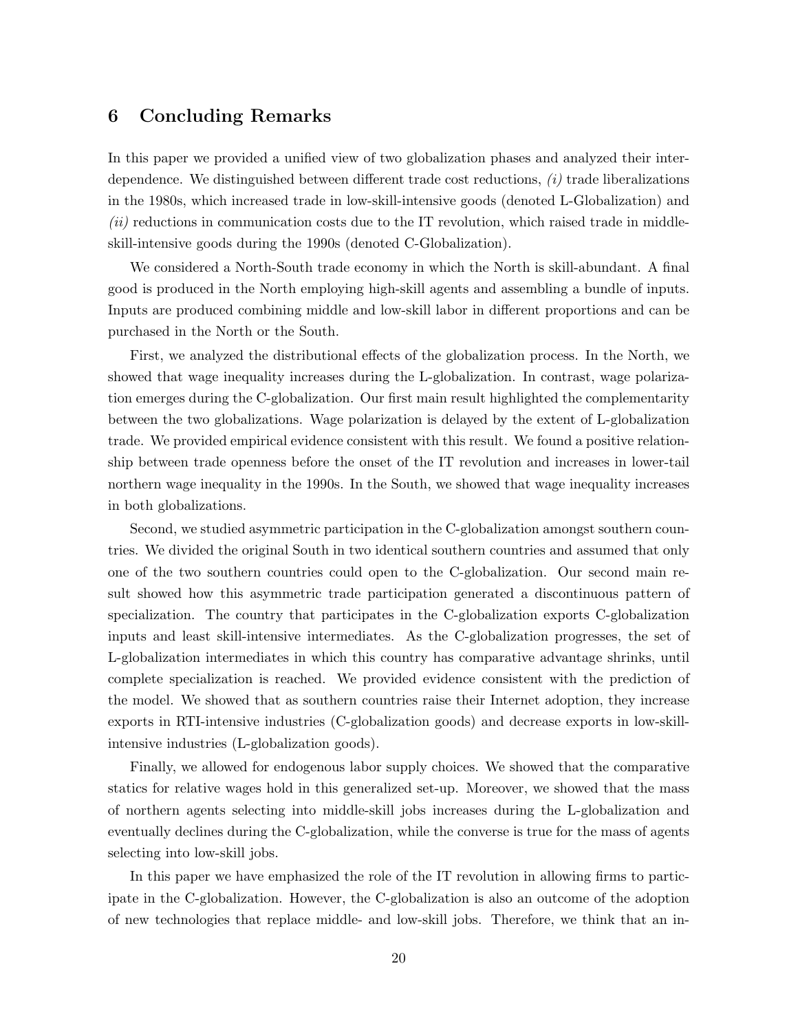# <span id="page-20-0"></span>6 Concluding Remarks

In this paper we provided a unified view of two globalization phases and analyzed their interdependence. We distinguished between different trade cost reductions,  $(i)$  trade liberalizations in the 1980s, which increased trade in low-skill-intensive goods (denoted L-Globalization) and  $(ii)$  reductions in communication costs due to the IT revolution, which raised trade in middleskill-intensive goods during the 1990s (denoted C-Globalization).

We considered a North-South trade economy in which the North is skill-abundant. A final good is produced in the North employing high-skill agents and assembling a bundle of inputs. Inputs are produced combining middle and low-skill labor in different proportions and can be purchased in the North or the South.

First, we analyzed the distributional effects of the globalization process. In the North, we showed that wage inequality increases during the L-globalization. In contrast, wage polarization emerges during the C-globalization. Our first main result highlighted the complementarity between the two globalizations. Wage polarization is delayed by the extent of L-globalization trade. We provided empirical evidence consistent with this result. We found a positive relationship between trade openness before the onset of the IT revolution and increases in lower-tail northern wage inequality in the 1990s. In the South, we showed that wage inequality increases in both globalizations.

Second, we studied asymmetric participation in the C-globalization amongst southern countries. We divided the original South in two identical southern countries and assumed that only one of the two southern countries could open to the C-globalization. Our second main result showed how this asymmetric trade participation generated a discontinuous pattern of specialization. The country that participates in the C-globalization exports C-globalization inputs and least skill-intensive intermediates. As the C-globalization progresses, the set of L-globalization intermediates in which this country has comparative advantage shrinks, until complete specialization is reached. We provided evidence consistent with the prediction of the model. We showed that as southern countries raise their Internet adoption, they increase exports in RTI-intensive industries (C-globalization goods) and decrease exports in low-skillintensive industries (L-globalization goods).

Finally, we allowed for endogenous labor supply choices. We showed that the comparative statics for relative wages hold in this generalized set-up. Moreover, we showed that the mass of northern agents selecting into middle-skill jobs increases during the L-globalization and eventually declines during the C-globalization, while the converse is true for the mass of agents selecting into low-skill jobs.

In this paper we have emphasized the role of the IT revolution in allowing firms to participate in the C-globalization. However, the C-globalization is also an outcome of the adoption of new technologies that replace middle- and low-skill jobs. Therefore, we think that an in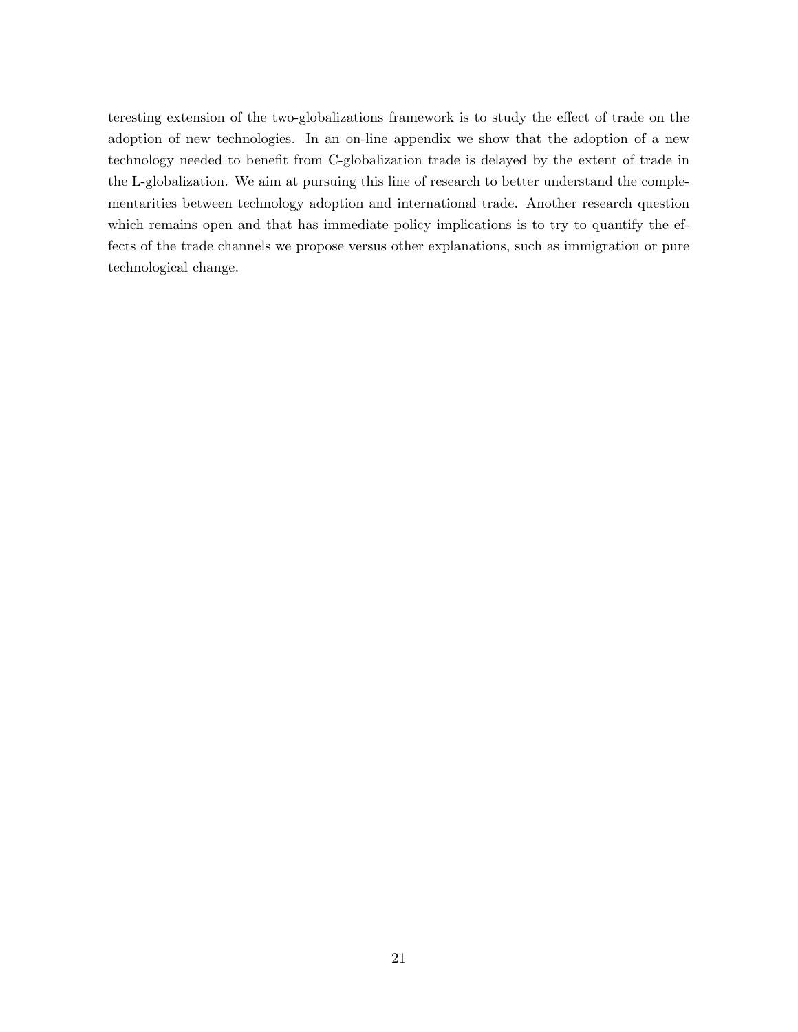teresting extension of the two-globalizations framework is to study the effect of trade on the adoption of new technologies. In an on-line appendix we show that the adoption of a new technology needed to benefit from C-globalization trade is delayed by the extent of trade in the L-globalization. We aim at pursuing this line of research to better understand the complementarities between technology adoption and international trade. Another research question which remains open and that has immediate policy implications is to try to quantify the effects of the trade channels we propose versus other explanations, such as immigration or pure technological change.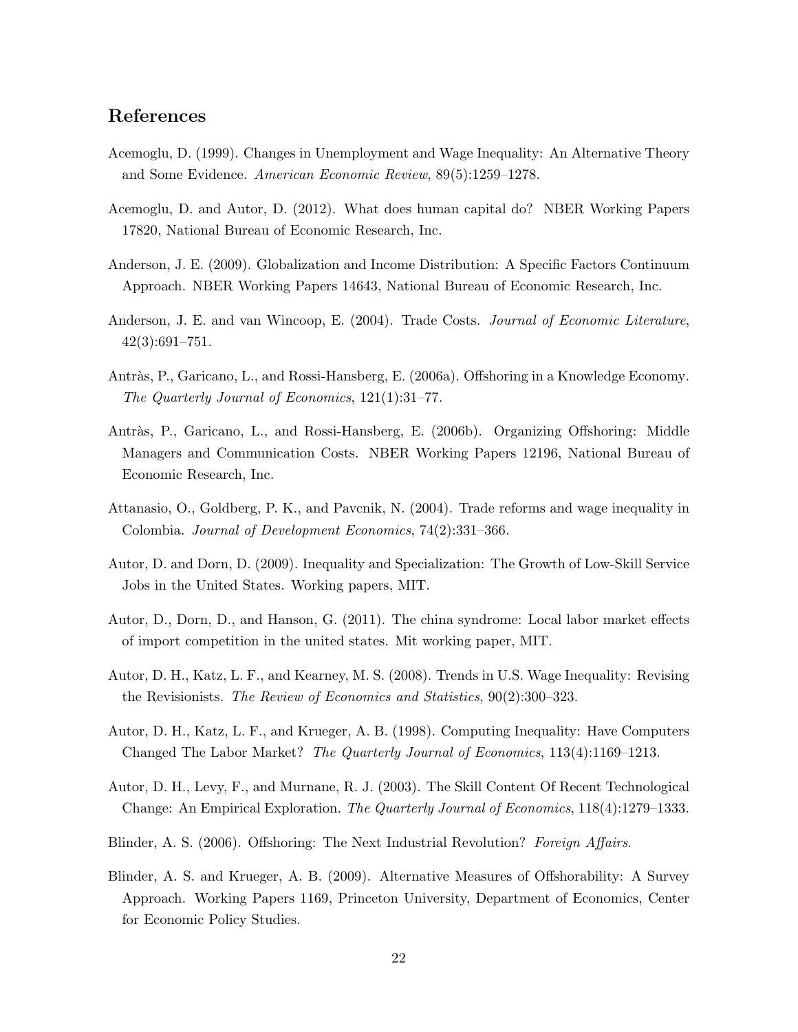# <span id="page-22-0"></span>References

- Acemoglu, D. (1999). Changes in Unemployment and Wage Inequality: An Alternative Theory and Some Evidence. American Economic Review, 89(5):1259–1278.
- Acemoglu, D. and Autor, D. (2012). What does human capital do? NBER Working Papers 17820, National Bureau of Economic Research, Inc.
- Anderson, J. E. (2009). Globalization and Income Distribution: A Specific Factors Continuum Approach. NBER Working Papers 14643, National Bureau of Economic Research, Inc.
- Anderson, J. E. and van Wincoop, E. (2004). Trade Costs. Journal of Economic Literature, 42(3):691–751.
- Antràs, P., Garicano, L., and Rossi-Hansberg, E. (2006a). Offshoring in a Knowledge Economy. The Quarterly Journal of Economics, 121(1):31–77.
- Antràs, P., Garicano, L., and Rossi-Hansberg, E. (2006b). Organizing Offshoring: Middle Managers and Communication Costs. NBER Working Papers 12196, National Bureau of Economic Research, Inc.
- Attanasio, O., Goldberg, P. K., and Pavcnik, N. (2004). Trade reforms and wage inequality in Colombia. Journal of Development Economics, 74(2):331–366.
- Autor, D. and Dorn, D. (2009). Inequality and Specialization: The Growth of Low-Skill Service Jobs in the United States. Working papers, MIT.
- Autor, D., Dorn, D., and Hanson, G. (2011). The china syndrome: Local labor market effects of import competition in the united states. Mit working paper, MIT.
- Autor, D. H., Katz, L. F., and Kearney, M. S. (2008). Trends in U.S. Wage Inequality: Revising the Revisionists. The Review of Economics and Statistics, 90(2):300–323.
- Autor, D. H., Katz, L. F., and Krueger, A. B. (1998). Computing Inequality: Have Computers Changed The Labor Market? The Quarterly Journal of Economics, 113(4):1169–1213.
- Autor, D. H., Levy, F., and Murnane, R. J. (2003). The Skill Content Of Recent Technological Change: An Empirical Exploration. The Quarterly Journal of Economics, 118(4):1279–1333.
- Blinder, A. S. (2006). Offshoring: The Next Industrial Revolution? Foreign Affairs.
- Blinder, A. S. and Krueger, A. B. (2009). Alternative Measures of Offshorability: A Survey Approach. Working Papers 1169, Princeton University, Department of Economics, Center for Economic Policy Studies.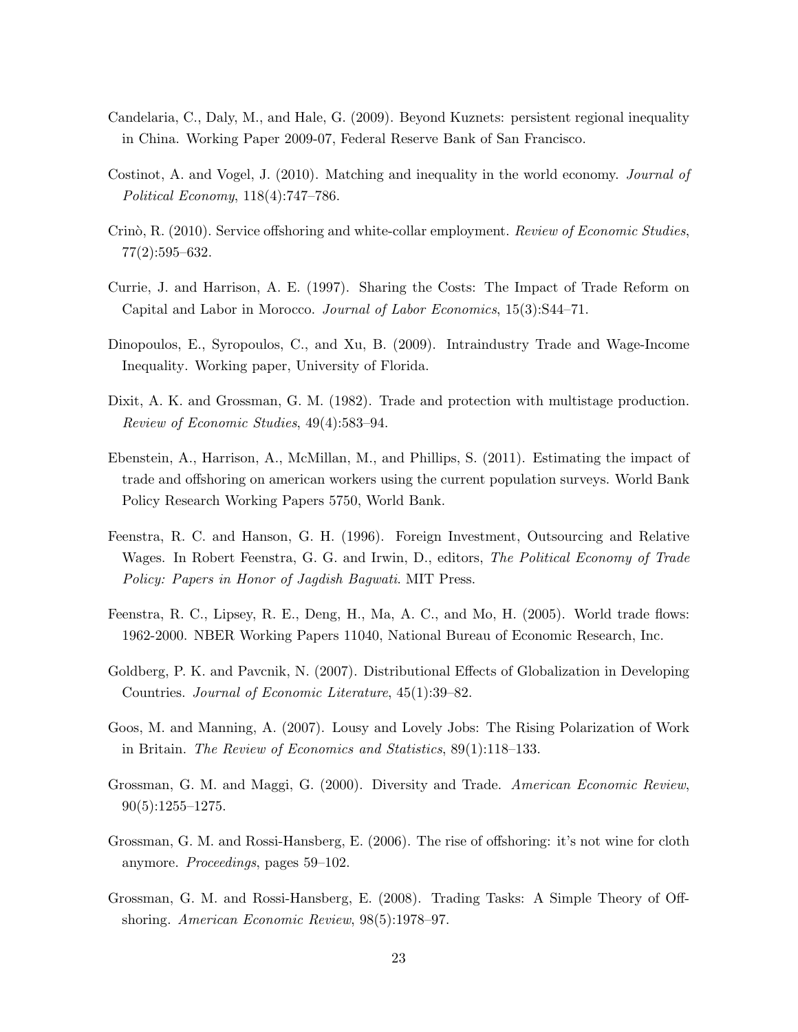- <span id="page-23-0"></span>Candelaria, C., Daly, M., and Hale, G. (2009). Beyond Kuznets: persistent regional inequality in China. Working Paper 2009-07, Federal Reserve Bank of San Francisco.
- Costinot, A. and Vogel, J. (2010). Matching and inequality in the world economy. Journal of Political Economy, 118(4):747–786.
- Crinò, R. (2010). Service offshoring and white-collar employment. Review of Economic Studies, 77(2):595–632.
- Currie, J. and Harrison, A. E. (1997). Sharing the Costs: The Impact of Trade Reform on Capital and Labor in Morocco. Journal of Labor Economics, 15(3):S44–71.
- Dinopoulos, E., Syropoulos, C., and Xu, B. (2009). Intraindustry Trade and Wage-Income Inequality. Working paper, University of Florida.
- Dixit, A. K. and Grossman, G. M. (1982). Trade and protection with multistage production. Review of Economic Studies, 49(4):583–94.
- Ebenstein, A., Harrison, A., McMillan, M., and Phillips, S. (2011). Estimating the impact of trade and offshoring on american workers using the current population surveys. World Bank Policy Research Working Papers 5750, World Bank.
- Feenstra, R. C. and Hanson, G. H. (1996). Foreign Investment, Outsourcing and Relative Wages. In Robert Feenstra, G. G. and Irwin, D., editors, The Political Economy of Trade Policy: Papers in Honor of Jagdish Bagwati. MIT Press.
- Feenstra, R. C., Lipsey, R. E., Deng, H., Ma, A. C., and Mo, H. (2005). World trade flows: 1962-2000. NBER Working Papers 11040, National Bureau of Economic Research, Inc.
- Goldberg, P. K. and Pavcnik, N. (2007). Distributional Effects of Globalization in Developing Countries. Journal of Economic Literature, 45(1):39–82.
- Goos, M. and Manning, A. (2007). Lousy and Lovely Jobs: The Rising Polarization of Work in Britain. The Review of Economics and Statistics, 89(1):118–133.
- Grossman, G. M. and Maggi, G. (2000). Diversity and Trade. American Economic Review, 90(5):1255–1275.
- Grossman, G. M. and Rossi-Hansberg, E. (2006). The rise of offshoring: it's not wine for cloth anymore. Proceedings, pages 59–102.
- Grossman, G. M. and Rossi-Hansberg, E. (2008). Trading Tasks: A Simple Theory of Offshoring. American Economic Review, 98(5):1978–97.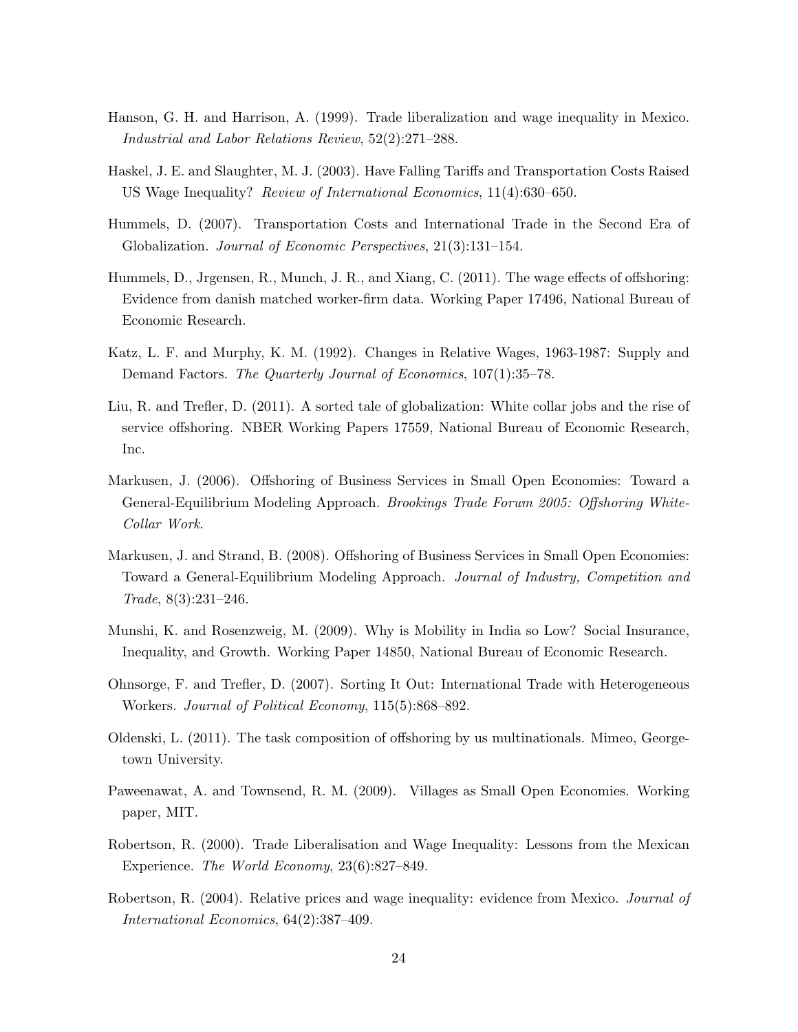- <span id="page-24-0"></span>Hanson, G. H. and Harrison, A. (1999). Trade liberalization and wage inequality in Mexico. Industrial and Labor Relations Review, 52(2):271–288.
- Haskel, J. E. and Slaughter, M. J. (2003). Have Falling Tariffs and Transportation Costs Raised US Wage Inequality? Review of International Economics, 11(4):630–650.
- Hummels, D. (2007). Transportation Costs and International Trade in the Second Era of Globalization. Journal of Economic Perspectives, 21(3):131–154.
- Hummels, D., Jrgensen, R., Munch, J. R., and Xiang, C. (2011). The wage effects of offshoring: Evidence from danish matched worker-firm data. Working Paper 17496, National Bureau of Economic Research.
- Katz, L. F. and Murphy, K. M. (1992). Changes in Relative Wages, 1963-1987: Supply and Demand Factors. The Quarterly Journal of Economics, 107(1):35–78.
- Liu, R. and Trefler, D. (2011). A sorted tale of globalization: White collar jobs and the rise of service offshoring. NBER Working Papers 17559, National Bureau of Economic Research, Inc.
- Markusen, J. (2006). Offshoring of Business Services in Small Open Economies: Toward a General-Equilibrium Modeling Approach. Brookings Trade Forum 2005: Offshoring White-Collar Work.
- Markusen, J. and Strand, B. (2008). Offshoring of Business Services in Small Open Economies: Toward a General-Equilibrium Modeling Approach. Journal of Industry, Competition and Trade, 8(3):231–246.
- Munshi, K. and Rosenzweig, M. (2009). Why is Mobility in India so Low? Social Insurance, Inequality, and Growth. Working Paper 14850, National Bureau of Economic Research.
- Ohnsorge, F. and Trefler, D. (2007). Sorting It Out: International Trade with Heterogeneous Workers. Journal of Political Economy, 115(5):868–892.
- Oldenski, L. (2011). The task composition of offshoring by us multinationals. Mimeo, Georgetown University.
- Paweenawat, A. and Townsend, R. M. (2009). Villages as Small Open Economies. Working paper, MIT.
- Robertson, R. (2000). Trade Liberalisation and Wage Inequality: Lessons from the Mexican Experience. The World Economy, 23(6):827–849.
- Robertson, R. (2004). Relative prices and wage inequality: evidence from Mexico. Journal of International Economics, 64(2):387–409.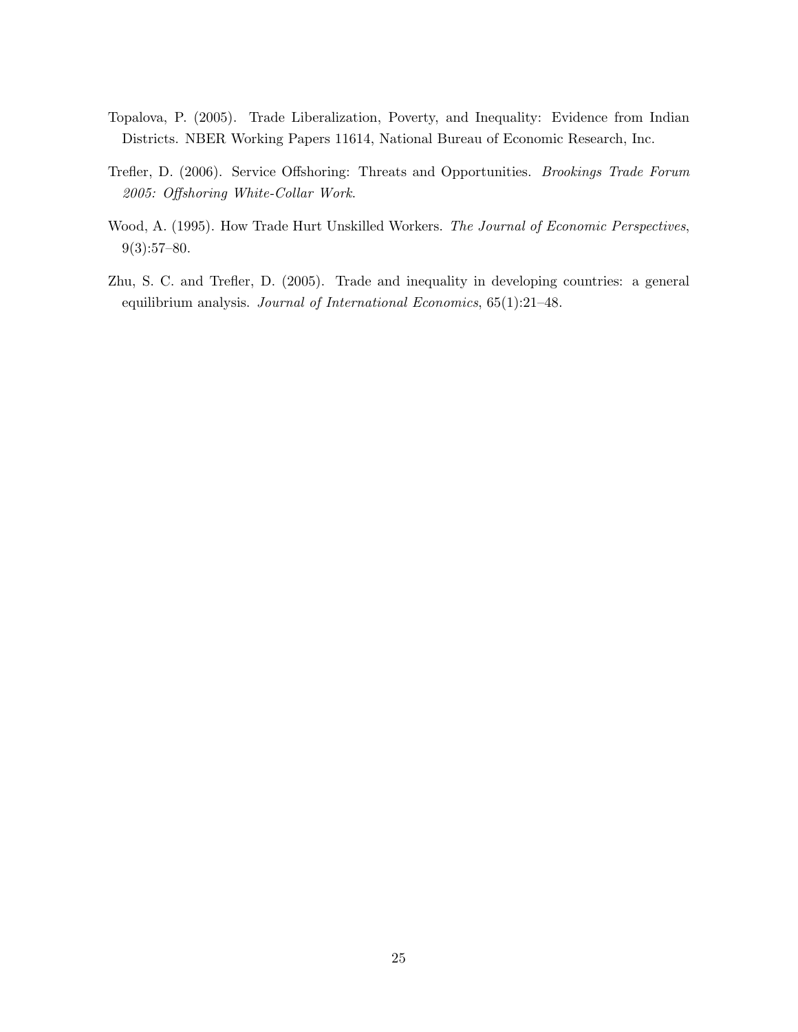- <span id="page-25-0"></span>Topalova, P. (2005). Trade Liberalization, Poverty, and Inequality: Evidence from Indian Districts. NBER Working Papers 11614, National Bureau of Economic Research, Inc.
- Trefler, D. (2006). Service Offshoring: Threats and Opportunities. Brookings Trade Forum 2005: Offshoring White-Collar Work.
- Wood, A. (1995). How Trade Hurt Unskilled Workers. The Journal of Economic Perspectives, 9(3):57–80.
- Zhu, S. C. and Trefler, D. (2005). Trade and inequality in developing countries: a general equilibrium analysis. Journal of International Economics, 65(1):21–48.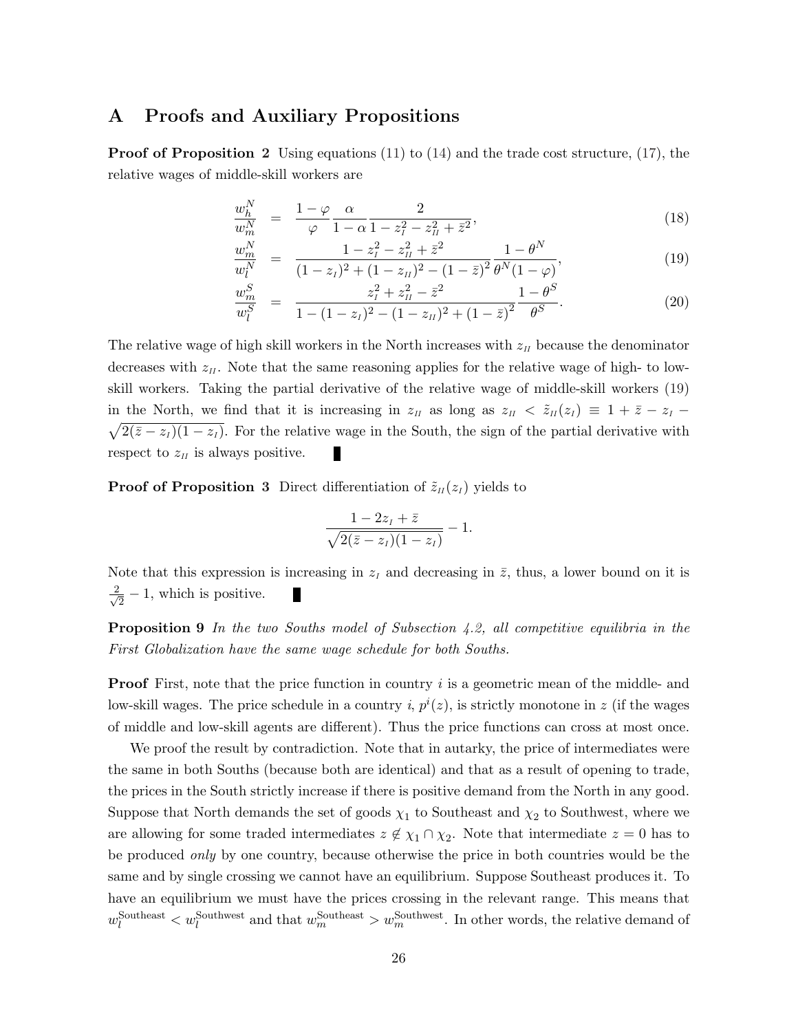## <span id="page-26-0"></span>A Proofs and Auxiliary Propositions

Proof of Proposition [2](#page-13-0) Using equations [\(11\)](#page-10-0) to [\(14\)](#page-10-0) and the trade cost structure, [\(17\)](#page-13-0), the relative wages of middle-skill workers are

$$
\frac{w_h^N}{w_m^N} = \frac{1 - \varphi \alpha}{\varphi \ 1 - \alpha \ 1 - z_l^2 - z_H^2 + \bar{z}^2},\tag{18}
$$

$$
\frac{w_m^N}{w_l^N} = \frac{1 - z_l^2 - z_H^2 + \bar{z}^2}{(1 - z_l)^2 + (1 - z_H)^2 - (1 - \bar{z})^2} \frac{1 - \theta^N}{\theta^N (1 - \varphi)},\tag{19}
$$

$$
\frac{w_m^S}{w_l^S} = \frac{z_l^2 + z_n^2 - \bar{z}^2}{1 - (1 - z_l)^2 - (1 - z_n)^2 + (1 - \bar{z})^2} \frac{1 - \theta^S}{\theta^S}.
$$
\n(20)

The relative wage of high skill workers in the North increases with  $z_{II}$  because the denominator decreases with  $z_{II}$ . Note that the same reasoning applies for the relative wage of high- to lowskill workers. Taking the partial derivative of the relative wage of middle-skill workers (19) in the North, we find that it is increasing in  $z_{II}$  as long as  $z_{II} < \tilde{z}_{II}(z_I) \equiv 1 + \bar{z} - z_I$  $\sqrt{2(\bar{z}-z_1)(1-z_1)}$ . For the relative wage in the South, the sign of the partial derivative with respect to  $z_{II}$  is always positive. П

**Proof of Proposition [3](#page-14-0)** Direct differentiation of  $\tilde{z}_{II}(z_I)$  yields to

$$
\frac{1-2z_I+\bar{z}}{\sqrt{2(\bar{z}-z_I)(1-z_I)}}-1.
$$

Note that this expression is increasing in  $z_I$  and decreasing in  $\bar{z}$ , thus, a lower bound on it is  $\frac{2}{\sqrt{2}}$  $\frac{1}{2} - 1$ , which is positive.

**Proposition 9** In the two Souths model of Subsection [4.2,](#page-15-0) all competitive equilibria in the First Globalization have the same wage schedule for both Souths.

**Proof** First, note that the price function in country i is a geometric mean of the middle- and low-skill wages. The price schedule in a country i,  $p^{i}(z)$ , is strictly monotone in z (if the wages of middle and low-skill agents are different). Thus the price functions can cross at most once.

We proof the result by contradiction. Note that in autarky, the price of intermediates were the same in both Souths (because both are identical) and that as a result of opening to trade, the prices in the South strictly increase if there is positive demand from the North in any good. Suppose that North demands the set of goods  $\chi_1$  to Southeast and  $\chi_2$  to Southwest, where we are allowing for some traded intermediates  $z \notin \chi_1 \cap \chi_2$ . Note that intermediate  $z = 0$  has to be produced only by one country, because otherwise the price in both countries would be the same and by single crossing we cannot have an equilibrium. Suppose Southeast produces it. To have an equilibrium we must have the prices crossing in the relevant range. This means that  $w_l^{\text{Southeast}} < w_l^{\text{Southwest}}$  and that  $w_m^{\text{Southwest}} > w_m^{\text{Southwest}}$ . In other words, the relative demand of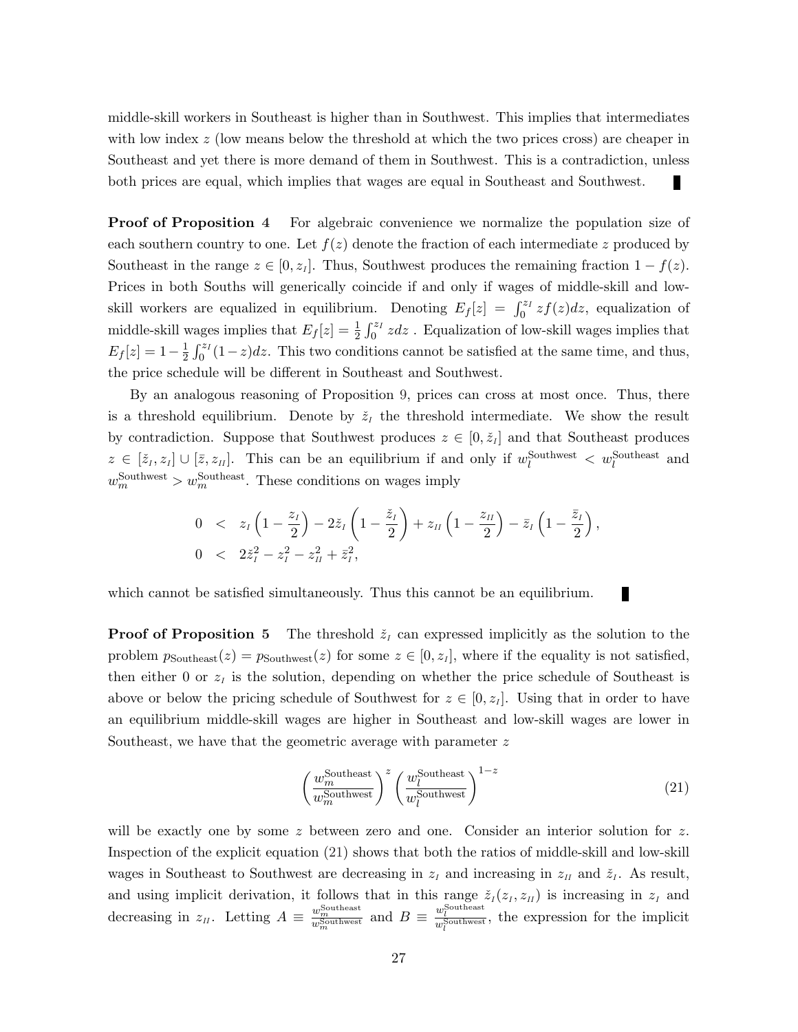middle-skill workers in Southeast is higher than in Southwest. This implies that intermediates with low index z (low means below the threshold at which the two prices cross) are cheaper in Southeast and yet there is more demand of them in Southwest. This is a contradiction, unless both prices are equal, which implies that wages are equal in Southeast and Southwest.

**Proof of Proposition [4](#page-16-0)** For algebraic convenience we normalize the population size of each southern country to one. Let  $f(z)$  denote the fraction of each intermediate z produced by Southeast in the range  $z \in [0, z_I]$ . Thus, Southwest produces the remaining fraction  $1 - f(z)$ . Prices in both Souths will generically coincide if and only if wages of middle-skill and lowskill workers are equalized in equilibrium. Denoting  $E_f[z] = \int_0^{z_I} z f(z) dz$ , equalization of middle-skill wages implies that  $E_f[z] = \frac{1}{2} \int_0^{z_I} z dz$ . Equalization of low-skill wages implies that  $E_f[z] = 1 - \frac{1}{2}$  $\frac{1}{2} \int_0^{z_I} (1-z) dz$ . This two conditions cannot be satisfied at the same time, and thus, the price schedule will be different in Southeast and Southwest.

By an analogous reasoning of Proposition [9,](#page-26-0) prices can cross at most once. Thus, there is a threshold equilibrium. Denote by  $\check{z}_I$  the threshold intermediate. We show the result by contradiction. Suppose that Southwest produces  $z \in [0, \check{z}_I]$  and that Southeast produces  $z \in [\tilde{z}_I, z_I] \cup [\bar{z}, z_{II}]$ . This can be an equilibrium if and only if  $w_l^{\text{Southwest}} < w_l^{\text{Southleast}}$  and  $w_m^{\text{Southwest}} > w_m^{\text{Southeast}}$ . These conditions on wages imply

$$
0 < z_I \left(1 - \frac{z_I}{2}\right) - 2 \tilde{z}_I \left(1 - \frac{\tilde{z}_I}{2}\right) + z_{II} \left(1 - \frac{z_{II}}{2}\right) - \bar{z}_I \left(1 - \frac{\bar{z}_I}{2}\right),
$$
  
 
$$
0 < 2 \tilde{z}_I^2 - z_I^2 - z_{II}^2 + \bar{z}_I^2,
$$

which cannot be satisfied simultaneously. Thus this cannot be an equilibrium.

**Proof of Proposition [5](#page-16-0)** The threshold  $\check{z}_I$  can expressed implicitly as the solution to the problem  $p_{\text{Southeast}}(z) = p_{\text{Southwest}}(z)$  for some  $z \in [0, z_I]$ , where if the equality is not satisfied, then either 0 or  $z<sub>I</sub>$  is the solution, depending on whether the price schedule of Southeast is above or below the pricing schedule of Southwest for  $z \in [0, z_I]$ . Using that in order to have an equilibrium middle-skill wages are higher in Southeast and low-skill wages are lower in Southeast, we have that the geometric average with parameter z

$$
\left(\frac{w_m^{\text{Southeast}}}{w_m^{\text{Southwest}}}\right)^z \left(\frac{w_l^{\text{Southeast}}}{w_l^{\text{Southwest}}}\right)^{1-z} \tag{21}
$$

П

will be exactly one by some  $z$  between zero and one. Consider an interior solution for  $z$ . Inspection of the explicit equation (21) shows that both the ratios of middle-skill and low-skill wages in Southeast to Southwest are decreasing in  $z_I$  and increasing in  $z_{II}$  and  $\check{z}_I$ . As result, and using implicit derivation, it follows that in this range  $\check{z}_I(z_I, z_{II})$  is increasing in  $z_I$  and decreasing in  $z_{II}$ . Letting  $A \equiv \frac{w_{\text{nonthreshold}}^{\text{Souttheast}}}{w_{\text{nonthwest}}}$  $w_m^{\text{Southleast}}$  and  $B \equiv \frac{w_l^{\text{Southi}}}{w_l^{\text{Southwest}}}$ , the expression for the implicit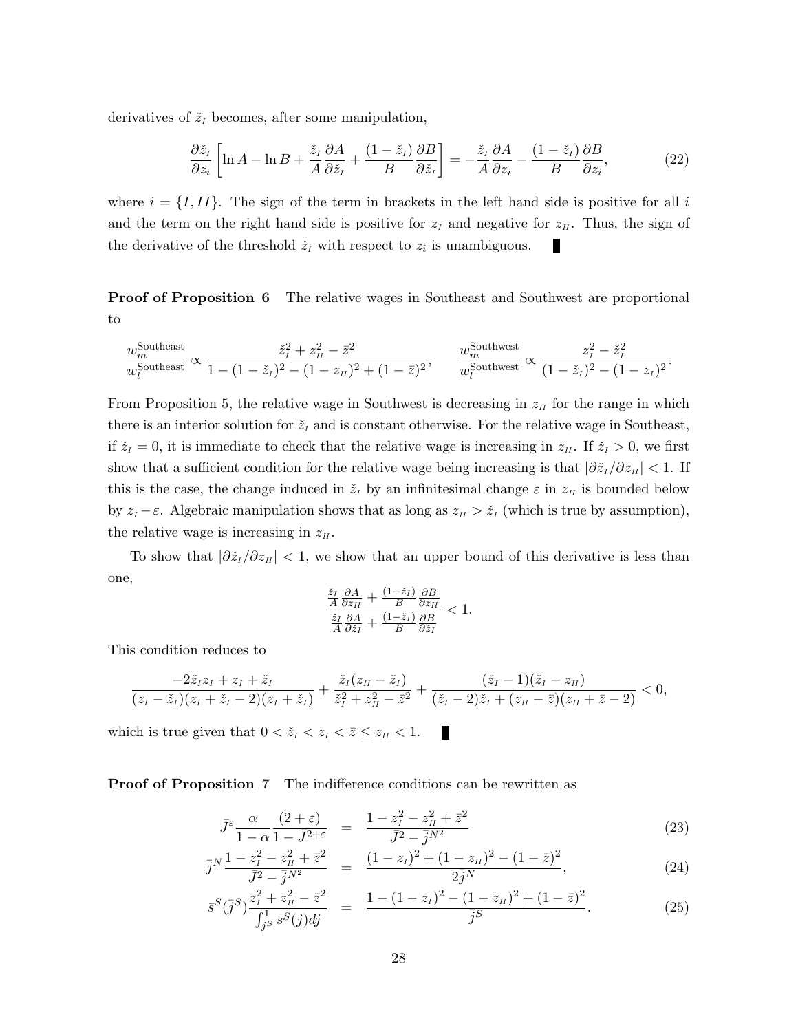<span id="page-28-0"></span>derivatives of  $\check{z}_I$  becomes, after some manipulation,

$$
\frac{\partial \tilde{z}_I}{\partial z_i} \left[ \ln A - \ln B + \frac{\tilde{z}_I}{A} \frac{\partial A}{\partial \tilde{z}_I} + \frac{(1 - \tilde{z}_I)}{B} \frac{\partial B}{\partial \tilde{z}_I} \right] = -\frac{\tilde{z}_I}{A} \frac{\partial A}{\partial z_i} - \frac{(1 - \tilde{z}_I)}{B} \frac{\partial B}{\partial z_i},\tag{22}
$$

where  $i = \{I, II\}$ . The sign of the term in brackets in the left hand side is positive for all i and the term on the right hand side is positive for  $z_I$  and negative for  $z_{II}$ . Thus, the sign of the derivative of the threshold  $\check{z}_I$  with respect to  $z_i$  is unambiguous. П

**Proof of Proposition [6](#page-17-0)** The relative wages in Southeast and Southwest are proportional to

$$
\frac{w_m^{\text{Southeast}}}{w_l^{\text{Southeast}}} \propto \frac{\check{z}_l^2 + z_{ll}^2 - \bar{z}^2}{1 - (1 - \check{z}_l)^2 - (1 - z_{ll})^2 + (1 - \bar{z})^2}, \qquad \frac{w_m^{\text{Southwest}}}{w_l^{\text{Southwest}}} \propto \frac{z_l^2 - \check{z}_l^2}{(1 - \check{z}_l)^2 - (1 - z_{l})^2}.
$$

From Proposition [5,](#page-16-0) the relative wage in Southwest is decreasing in  $z_{II}$  for the range in which there is an interior solution for  $\zeta_I$  and is constant otherwise. For the relative wage in Southeast, if  $\check{z}_I = 0$ , it is immediate to check that the relative wage is increasing in  $z_{II}$ . If  $\check{z}_I > 0$ , we first show that a sufficient condition for the relative wage being increasing is that  $|\partial \tilde{z}_I/\partial z_{II}| < 1$ . If this is the case, the change induced in  $\check{z}_I$  by an infinitesimal change  $\varepsilon$  in  $z_I$  is bounded below by  $z_I - \varepsilon$ . Algebraic manipulation shows that as long as  $z_{II} > \check{z}_I$  (which is true by assumption), the relative wage is increasing in  $z_{II}$ .

To show that  $|\partial \tilde{z}_I/\partial z_{II}| < 1$ , we show that an upper bound of this derivative is less than one,

$$
\frac{\frac{\check{z}_I}{A} \frac{\partial A}{\partial z_{II}} + \frac{(1-\check{z}_I)}{B} \frac{\partial B}{\partial z_{II}}}{\frac{\check{z}_I}{A} \frac{\partial A}{\partial \check{z}_I} + \frac{(1-\check{z}_I)}{B} \frac{\partial B}{\partial \check{z}_I}} < 1.
$$

This condition reduces to

$$
\frac{-2\check{z}_I z_I + z_I + \check{z}_I}{(z_I - \check{z}_I)(z_I + \check{z}_I - 2)(z_I + \check{z}_I)} + \frac{\check{z}_I(z_{II} - \check{z}_I)}{\check{z}_I^2 + z_{II}^2 - \bar{z}^2} + \frac{(\check{z}_I - 1)(\check{z}_I - z_{II})}{(\check{z}_I - 2)\check{z}_I + (z_{II} - \bar{z})(z_{II} + \bar{z} - 2)} < 0,
$$

which is true given that  $0 < \check{z}_I < z_I < \bar{z} \leq z_{II} < 1$ .

Proof of Proposition [7](#page-18-0) The indifference conditions can be rewritten as

$$
\bar{J}^{\varepsilon} \frac{\alpha}{1-\alpha} \frac{(2+\varepsilon)}{1-\bar{J}^{2+\varepsilon}} = \frac{1-z_I^2-z_H^2+\bar{z}^2}{\bar{J}^2-\bar{j}^{N^2}}
$$
\n(23)

$$
\bar{j}^N \frac{1 - z_l^2 - z_{II}^2 + \bar{z}^2}{\bar{J}^2 - \bar{j}^{N^2}} = \frac{(1 - z_l)^2 + (1 - z_{II})^2 - (1 - \bar{z})^2}{2\bar{j}^N},
$$
\n(24)

$$
\bar{s}^{S}(\bar{j}^{S})\frac{z_{I}^{2}+z_{II}^{2}-\bar{z}^{2}}{\int_{\bar{j}^{S}}^{1} s^{S}(j)dj} = \frac{1-(1-z_{I})^{2}-(1-z_{II})^{2}+(1-\bar{z})^{2}}{\bar{j}^{S}}.
$$
\n(25)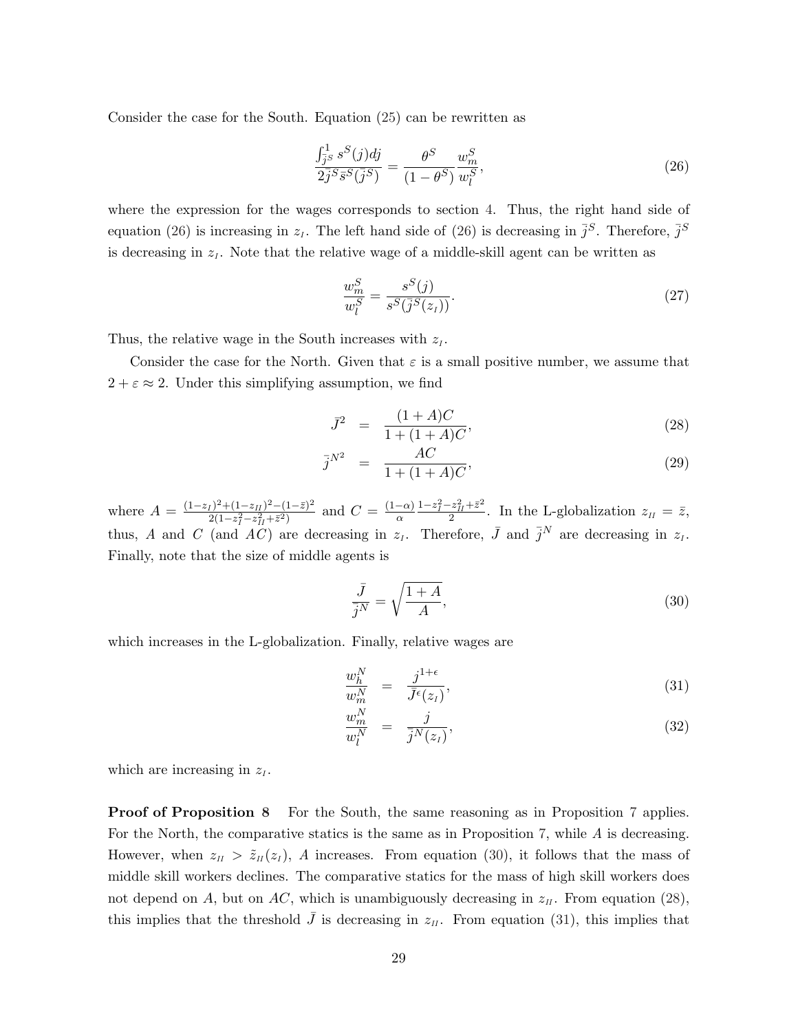<span id="page-29-0"></span>Consider the case for the South. Equation [\(25\)](#page-28-0) can be rewritten as

$$
\frac{\int_{\bar{j}^{S}}^{1} s^{S}(j)dj}{2\bar{j}^{S}\bar{s}^{S}(\bar{j}^{S})} = \frac{\theta^{S}}{(1-\theta^{S})} \frac{w_{m}^{S}}{w_{l}^{S}},
$$
\n(26)

where the expression for the wages corresponds to section [4.](#page-11-0) Thus, the right hand side of equation (26) is increasing in  $z_I$ . The left hand side of (26) is decreasing in  $\bar{j}^S$ . Therefore,  $\bar{j}^S$ is decreasing in  $z<sub>I</sub>$ . Note that the relative wage of a middle-skill agent can be written as

$$
\frac{w_m^S}{w_l^S} = \frac{s^S(j)}{s^S(\bar{j}^S(z_I))}.
$$
\n(27)

Thus, the relative wage in the South increases with  $z_I$ .

Consider the case for the North. Given that  $\varepsilon$  is a small positive number, we assume that  $2 + \varepsilon \approx 2$ . Under this simplifying assumption, we find

$$
\bar{J}^2 = \frac{(1+A)C}{1+(1+A)C},\tag{28}
$$

$$
\bar{j}^{N^2} = \frac{AC}{1 + (1 + A)C},\tag{29}
$$

where  $A = \frac{(1-z_I)^2 + (1-z_{II})^2 - (1-\bar{z})^2}{2(1-z^2-z^2+\bar{z}^2)}$  $\frac{(z_1)^2 + (1 - z_H)^2 - (1 - \bar{z})^2}{2(1 - z_I^2 - z_H^2 + \bar{z}^2)}$  and  $C = \frac{(1 - \alpha)}{\alpha} \frac{1 - z_I^2 - z_H^2 + \bar{z}^2}{2}$  $\frac{z_{II}+z}{2}$ . In the L-globalization  $z_{II} = \bar{z}$ , thus, A and C (and  $\overrightarrow{AC}$ ) are decreasing in  $z_I$ . Therefore,  $\overline{J}$  and  $\overline{j}^N$  are decreasing in  $z_I$ . Finally, note that the size of middle agents is

$$
\frac{\bar{J}}{\bar{j}^N} = \sqrt{\frac{1+A}{A}},\tag{30}
$$

which increases in the L-globalization. Finally, relative wages are

$$
\frac{w_h^N}{w_m^N} = \frac{j^{1+\epsilon}}{\bar{J}^{\epsilon}(z_l)},\tag{31}
$$

$$
\frac{w_m^N}{w_l^N} = \frac{j}{\bar{j}^N(z_l)},\tag{32}
$$

which are increasing in  $z_I$ .

**Proof of Proposition [8](#page-19-0)** For the South, the same reasoning as in Proposition [7](#page-18-0) applies. For the North, the comparative statics is the same as in Proposition [7,](#page-18-0) while A is decreasing. However, when  $z_{II} > \tilde{z}_{II}(z_I)$ , A increases. From equation (30), it follows that the mass of middle skill workers declines. The comparative statics for the mass of high skill workers does not depend on A, but on AC, which is unambiguously decreasing in  $z_{II}$ . From equation (28), this implies that the threshold  $\bar{J}$  is decreasing in  $z_{II}$ . From equation (31), this implies that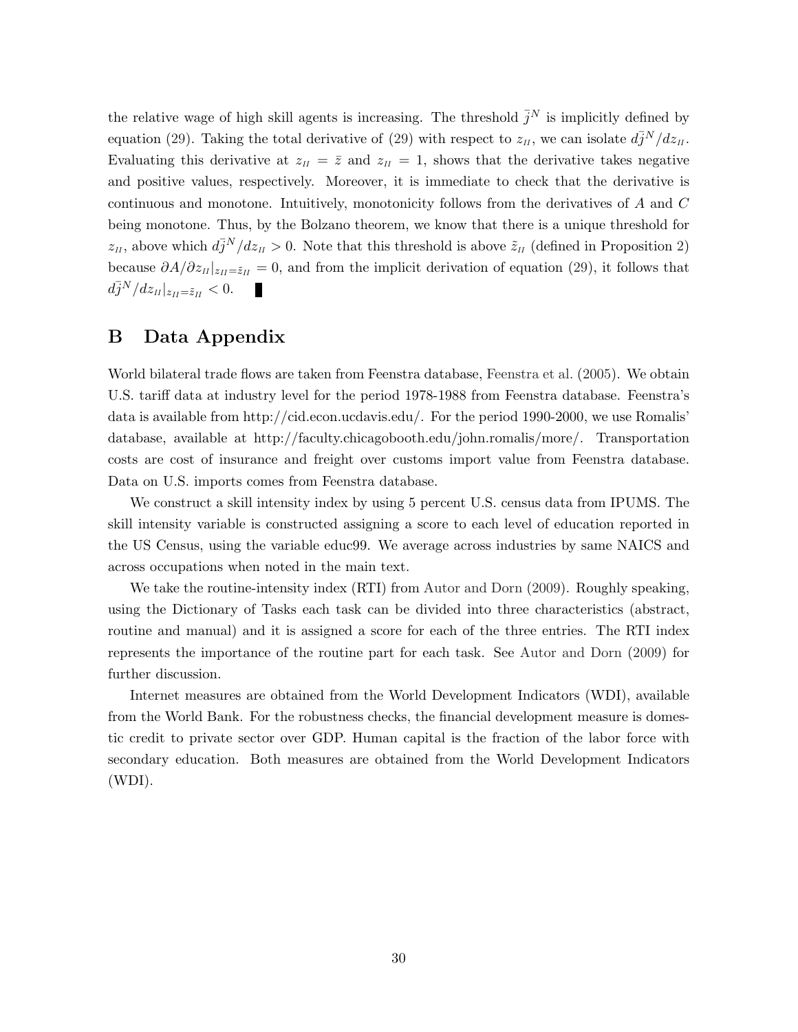<span id="page-30-0"></span>the relative wage of high skill agents is increasing. The threshold  $\bar{j}^N$  is implicitly defined by equation [\(29\)](#page-29-0). Taking the total derivative of (29) with respect to  $z_{II}$ , we can isolate  $d\bar{j}^N/dz_{II}$ . Evaluating this derivative at  $z_{II} = \bar{z}$  and  $z_{II} = 1$ , shows that the derivative takes negative and positive values, respectively. Moreover, it is immediate to check that the derivative is continuous and monotone. Intuitively, monotonicity follows from the derivatives of A and C being monotone. Thus, by the Bolzano theorem, we know that there is a unique threshold for  $z_{II}$ , above which  $d\bar{j}^N/dz_{II} > 0$ . Note that this threshold is above  $\tilde{z}_{II}$  (defined in Proposition [2\)](#page-13-0) because  $\partial A/\partial z_{II}|_{z_{II}=\tilde{z}_{II}}=0$ , and from the implicit derivation of equation [\(29\)](#page-29-0), it follows that  $d\bar{j}^N/dz_{II}|_{z_{II}=\tilde{z}_{II}} < 0.$ a ka

## B Data Appendix

World bilateral trade flows are taken from Feenstra database, [Feenstra et al.](#page-23-0) [\(2005](#page-23-0)). We obtain U.S. tariff data at industry level for the period 1978-1988 from Feenstra database. Feenstra's data is available from http://cid.econ.ucdavis.edu/. For the period 1990-2000, we use Romalis' database, available at http://faculty.chicagobooth.edu/john.romalis/more/. Transportation costs are cost of insurance and freight over customs import value from Feenstra database. Data on U.S. imports comes from Feenstra database.

We construct a skill intensity index by using 5 percent U.S. census data from IPUMS. The skill intensity variable is constructed assigning a score to each level of education reported in the US Census, using the variable educ99. We average across industries by same NAICS and across occupations when noted in the main text.

We take the routine-intensity index (RTI) from [Autor and Dorn](#page-22-0) [\(2009](#page-22-0)). Roughly speaking, using the Dictionary of Tasks each task can be divided into three characteristics (abstract, routine and manual) and it is assigned a score for each of the three entries. The RTI index represents the importance of the routine part for each task. See [Autor and Dorn](#page-22-0) [\(2009\)](#page-22-0) for further discussion.

Internet measures are obtained from the World Development Indicators (WDI), available from the World Bank. For the robustness checks, the financial development measure is domestic credit to private sector over GDP. Human capital is the fraction of the labor force with secondary education. Both measures are obtained from the World Development Indicators (WDI).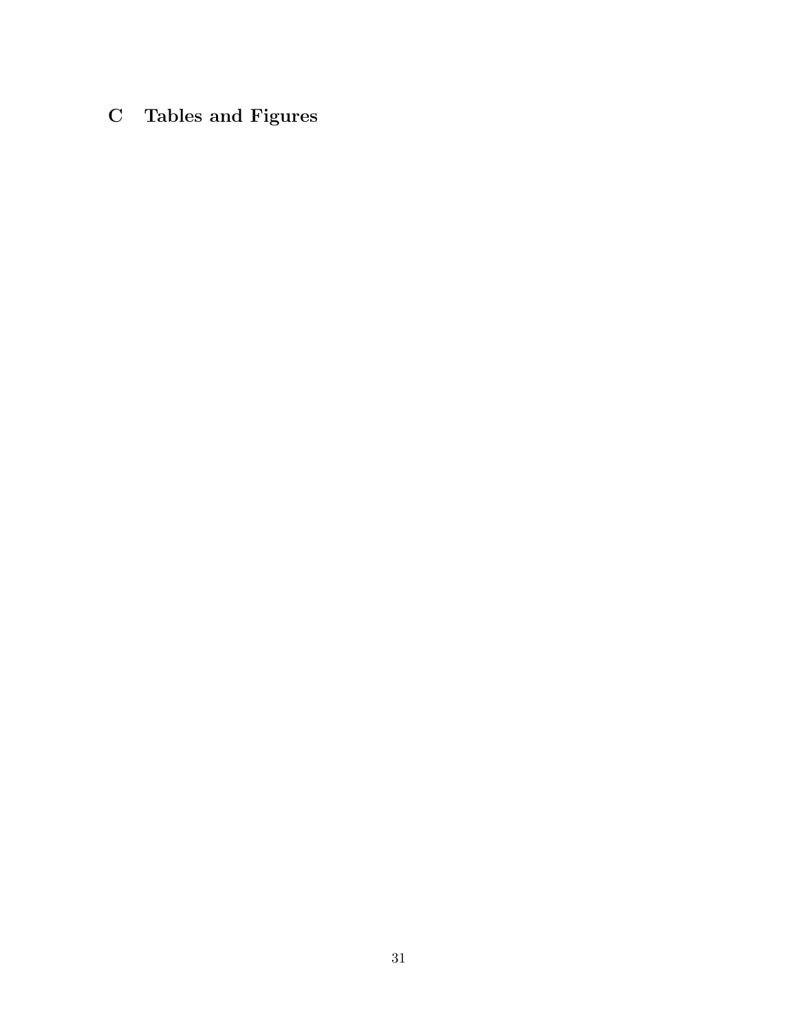# C Tables and Figures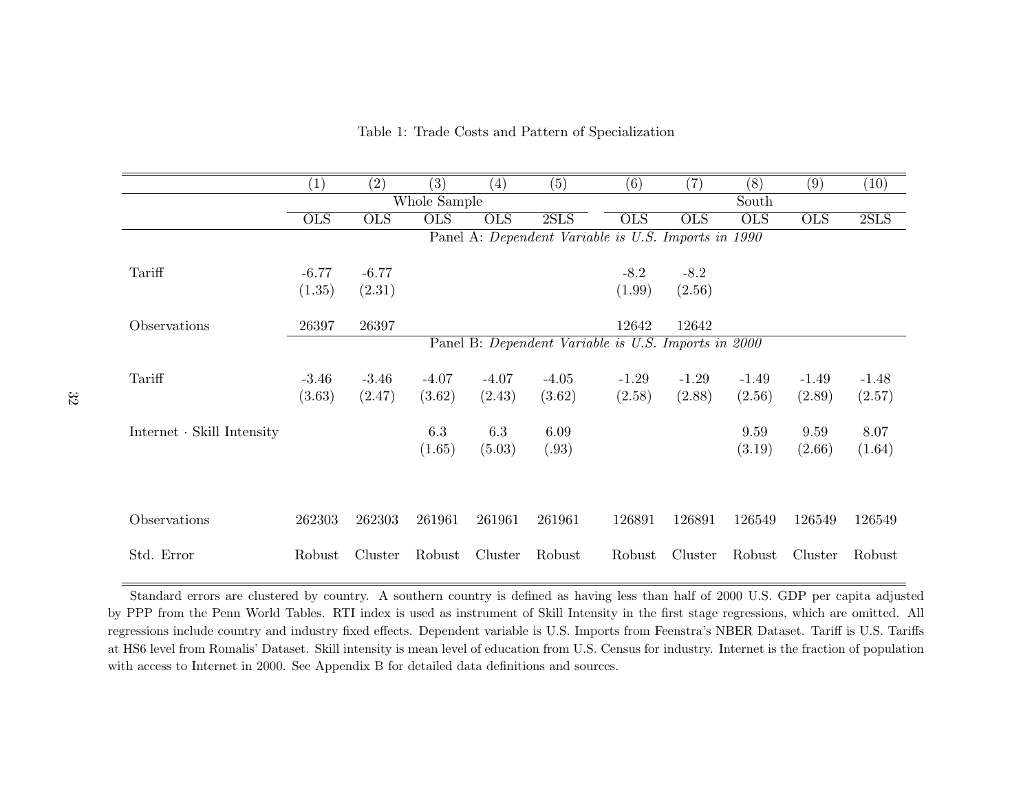<span id="page-32-0"></span>

|                            | $\left( 1\right)$                                   | (2)                                                 | $\left( 3\right)$ | $\left( 4\right)$ | (5)     | (6)        | (7)        | (8)        | (9)        | (10)    |
|----------------------------|-----------------------------------------------------|-----------------------------------------------------|-------------------|-------------------|---------|------------|------------|------------|------------|---------|
|                            |                                                     | Whole Sample                                        |                   |                   | South   |            |            |            |            |         |
|                            | OLS                                                 | <b>OLS</b>                                          | OLS               | <b>OLS</b>        | 2SLS    | <b>OLS</b> | <b>OLS</b> | <b>OLS</b> | <b>OLS</b> | 2SLS    |
|                            | Panel A: Dependent Variable is U.S. Imports in 1990 |                                                     |                   |                   |         |            |            |            |            |         |
| Tariff                     | $-6.77$                                             | $-6.77$                                             |                   |                   |         | $-8.2$     | $-8.2$     |            |            |         |
|                            | (1.35)                                              | (2.31)                                              |                   |                   |         | (1.99)     | (2.56)     |            |            |         |
| Observations               | 26397                                               | 26397                                               |                   |                   |         | 12642      | 12642      |            |            |         |
|                            |                                                     | Panel B: Dependent Variable is U.S. Imports in 2000 |                   |                   |         |            |            |            |            |         |
| Tariff                     | $-3.46$                                             | $-3.46$                                             | $-4.07$           | $-4.07$           | $-4.05$ | $-1.29$    | $-1.29$    | $-1.49$    | $-1.49$    | $-1.48$ |
|                            | (3.63)                                              | (2.47)                                              | (3.62)            | (2.43)            | (3.62)  | (2.58)     | (2.88)     | (2.56)     | (2.89)     | (2.57)  |
| Internet · Skill Intensity |                                                     |                                                     | 6.3               | 6.3               | 6.09    |            |            | 9.59       | 9.59       | 8.07    |
|                            |                                                     |                                                     | (1.65)            | (5.03)            | (.93)   |            |            | (3.19)     | (2.66)     | (1.64)  |
|                            |                                                     |                                                     |                   |                   |         |            |            |            |            |         |
|                            |                                                     |                                                     |                   |                   |         |            |            |            |            |         |
| Observations               | 262303                                              | 262303                                              | 261961            | 261961            | 261961  | 126891     | 126891     | 126549     | 126549     | 126549  |
| Std. Error                 | Robust                                              | Cluster                                             | Robust            | Cluster           | Robust  | Robust     | Cluster    | Robust     | Cluster    | Robust  |

Table 1: Trade Costs and Pattern of Specialization

Standard errors are clustered by country. <sup>A</sup> southern country is defined as having less than half of <sup>2000</sup> U.S. GDP per capita adjusted by PPP from the Penn World Tables. RTI index is used as instrument of Skill Intensity in the first stage regressions, which are omitted. All regressions include country and industry fixed effects. Dependent variable is U.S. Imports from Feenstra's NBER Dataset. Tariff is U.S. Tariffs at HS6 level from Romalis' Dataset. Skill intensity is mean level of education from U.S. Census for industry. Internet is the fraction of populationwith access to Internet in 2000. See Appendix [B](#page-30-0) for detailed data definitions and sources.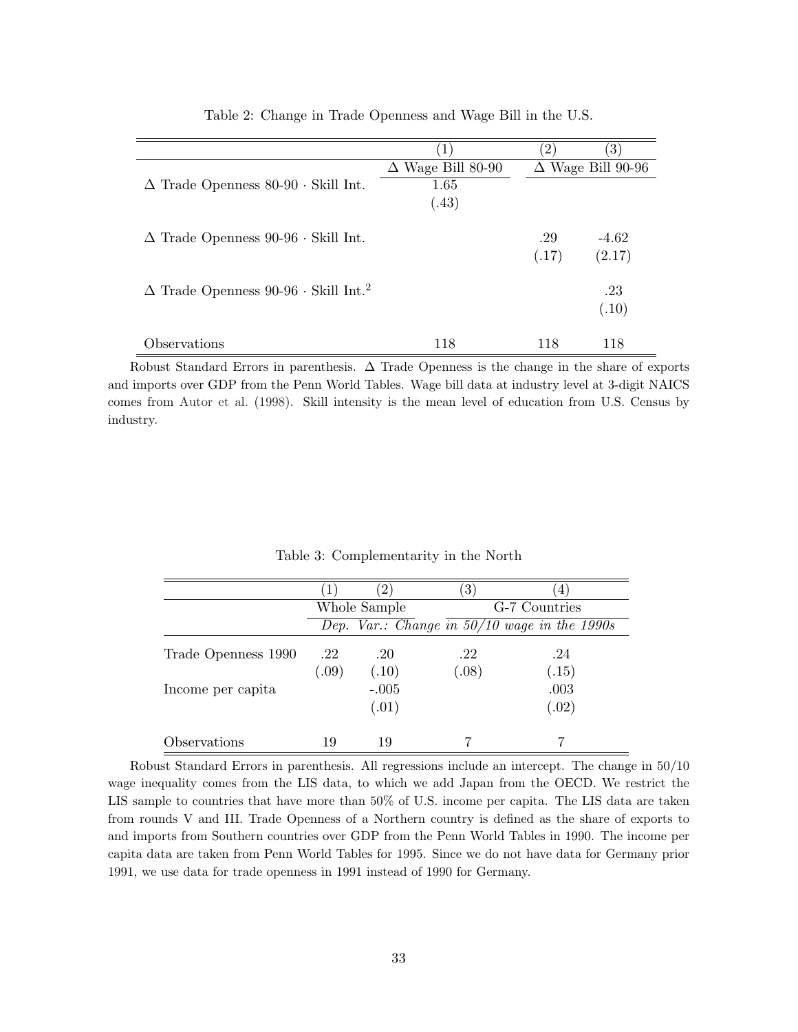<span id="page-33-0"></span>

|                                                         | 1)                       | $^{'2}$ . | $\left(3\right)$         |
|---------------------------------------------------------|--------------------------|-----------|--------------------------|
|                                                         | $\Delta$ Wage Bill 80-90 |           | $\Delta$ Wage Bill 90-96 |
| $\Delta$ Trade Openness 80-90 $\cdot$ Skill Int.        | 1.65                     |           |                          |
|                                                         | (.43)                    |           |                          |
|                                                         |                          |           |                          |
| $\Delta$ Trade Openness 90-96 $\cdot$ Skill Int.        |                          | .29       | $-4.62$                  |
|                                                         |                          | (.17)     | (2.17)                   |
| $\Delta$ Trade Openness 90-96 · Skill Int. <sup>2</sup> |                          |           | .23                      |
|                                                         |                          |           | (.10)                    |
|                                                         |                          |           |                          |
| Observations                                            | 118                      | 118       | 118                      |

Table 2: Change in Trade Openness and Wage Bill in the U.S.

Robust Standard Errors in parenthesis. ∆ Trade Openness is the change in the share of exports and imports over GDP from the Penn World Tables. Wage bill data at industry level at 3-digit NAICS comes from [Autor et al.](#page-22-0) [\(1998\)](#page-22-0). Skill intensity is the mean level of education from U.S. Census by industry.

|                     | $\left(1\right)$ | $\left(2\right)$ | $\left(3\right)$ | $\pm$                                          |  |  |
|---------------------|------------------|------------------|------------------|------------------------------------------------|--|--|
|                     |                  | Whole Sample     |                  | G-7 Countries                                  |  |  |
|                     |                  |                  |                  | Dep. Var.: Change in $50/10$ wage in the 1990s |  |  |
| Trade Openness 1990 | .22              | .20              | .22              | .24                                            |  |  |
|                     | (.09)            | (.10)            | (.08)            | (.15)                                          |  |  |
| Income per capita   |                  | $-.005$          |                  | .003                                           |  |  |
|                     |                  | (.01)            |                  | (.02)                                          |  |  |
| Observations        | 19               | 19               |                  |                                                |  |  |

Table 3: Complementarity in the North

Robust Standard Errors in parenthesis. All regressions include an intercept. The change in 50/10 wage inequality comes from the LIS data, to which we add Japan from the OECD. We restrict the LIS sample to countries that have more than 50% of U.S. income per capita. The LIS data are taken from rounds V and III. Trade Openness of a Northern country is defined as the share of exports to and imports from Southern countries over GDP from the Penn World Tables in 1990. The income per capita data are taken from Penn World Tables for 1995. Since we do not have data for Germany prior 1991, we use data for trade openness in 1991 instead of 1990 for Germany.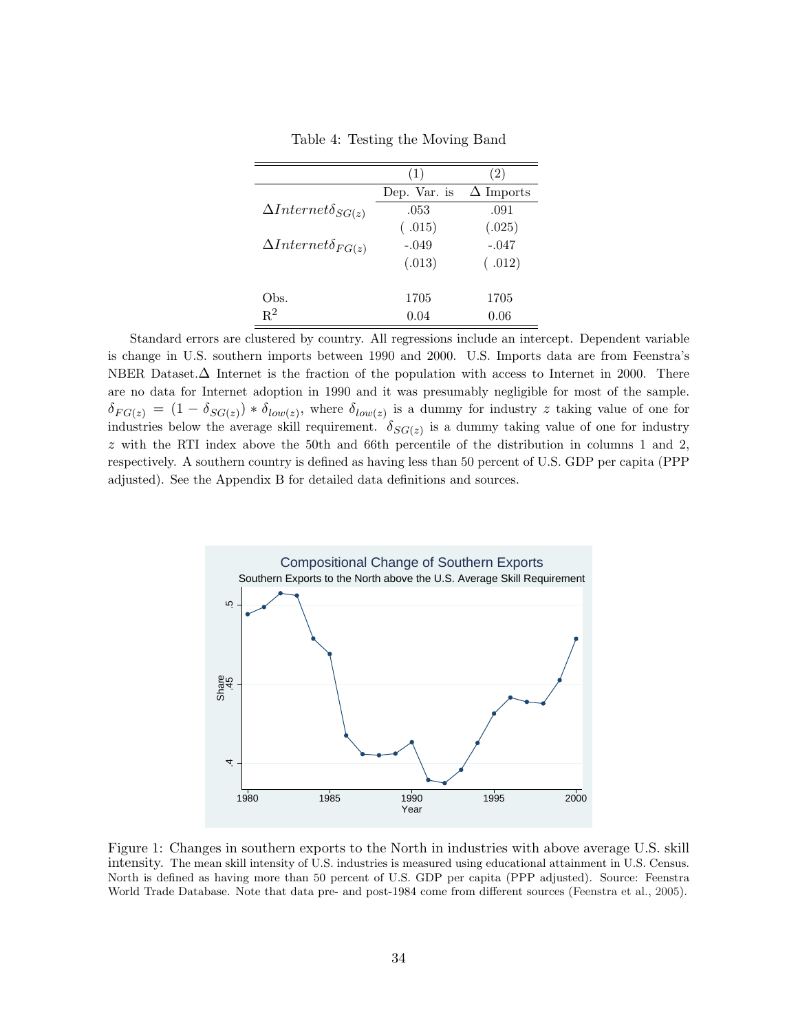Table 4: Testing the Moving Band

<span id="page-34-0"></span>

|                                 | 1            | (2)              |
|---------------------------------|--------------|------------------|
|                                 | Dep. Var. is | $\Delta$ Imports |
| $\Delta Internet\delta_{SG(z)}$ | .053         | .091             |
|                                 | (.015)       | (.025)           |
| $\Delta Internet\delta_{FG(z)}$ | $-.049$      | $-.047$          |
|                                 | (.013)       | (.012)           |
|                                 |              |                  |
| Obs.                            | 1705         | 1705             |
| $\mathrm{R}^2$                  | 0.04         | 0.06             |

Standard errors are clustered by country. All regressions include an intercept. Dependent variable is change in U.S. southern imports between 1990 and 2000. U.S. Imports data are from Feenstra's NBER Dataset. $\Delta$  Internet is the fraction of the population with access to Internet in 2000. There are no data for Internet adoption in 1990 and it was presumably negligible for most of the sample.  $\delta_{FG(z)} = (1 - \delta_{SG(z)}) * \delta_{low(z)}$ , where  $\delta_{low(z)}$  is a dummy for industry z taking value of one for industries below the average skill requirement.  $\delta_{SG(z)}$  is a dummy taking value of one for industry  $z$  with the RTI index above the 50th and 66th percentile of the distribution in columns 1 and 2, respectively. A southern country is defined as having less than 50 percent of U.S. GDP per capita (PPP adjusted). See the Appendix B for detailed data definitions and sources.



Figure 1: Changes in southern exports to the North in industries with above average U.S. skill intensity. The mean skill intensity of U.S. industries is measured using educational attainment in U.S. Census. North is defined as having more than 50 percent of U.S. GDP per capita (PPP adjusted). Source: Feenstra World Trade Database. Note that data pre- and post-1984 come from different sources [\(Feenstra et al.](#page-23-0), [2005](#page-23-0)).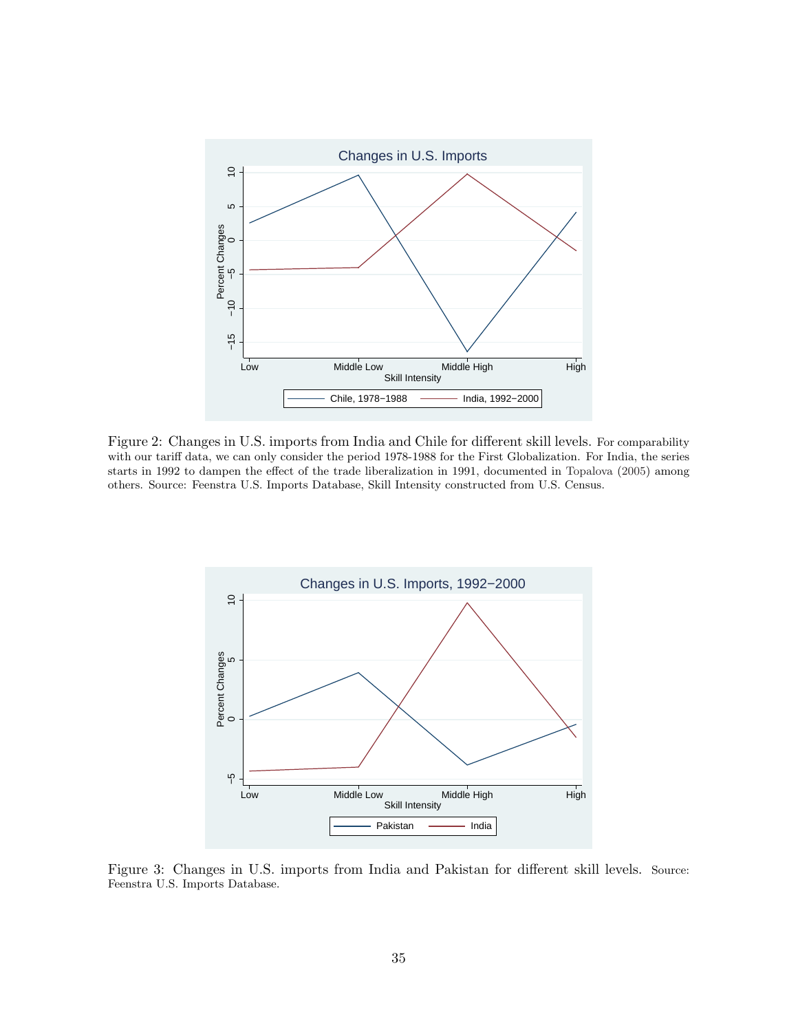<span id="page-35-0"></span>

Figure 2: Changes in U.S. imports from India and Chile for different skill levels. For comparability with our tariff data, we can only consider the period 1978-1988 for the First Globalization. For India, the series starts in 1992 to dampen the effect of the trade liberalization in 1991, documented in [Topalova](#page-25-0) [\(2005\)](#page-25-0) among others. Source: Feenstra U.S. Imports Database, Skill Intensity constructed from U.S. Census.



Figure 3: Changes in U.S. imports from India and Pakistan for different skill levels. Source: Feenstra U.S. Imports Database.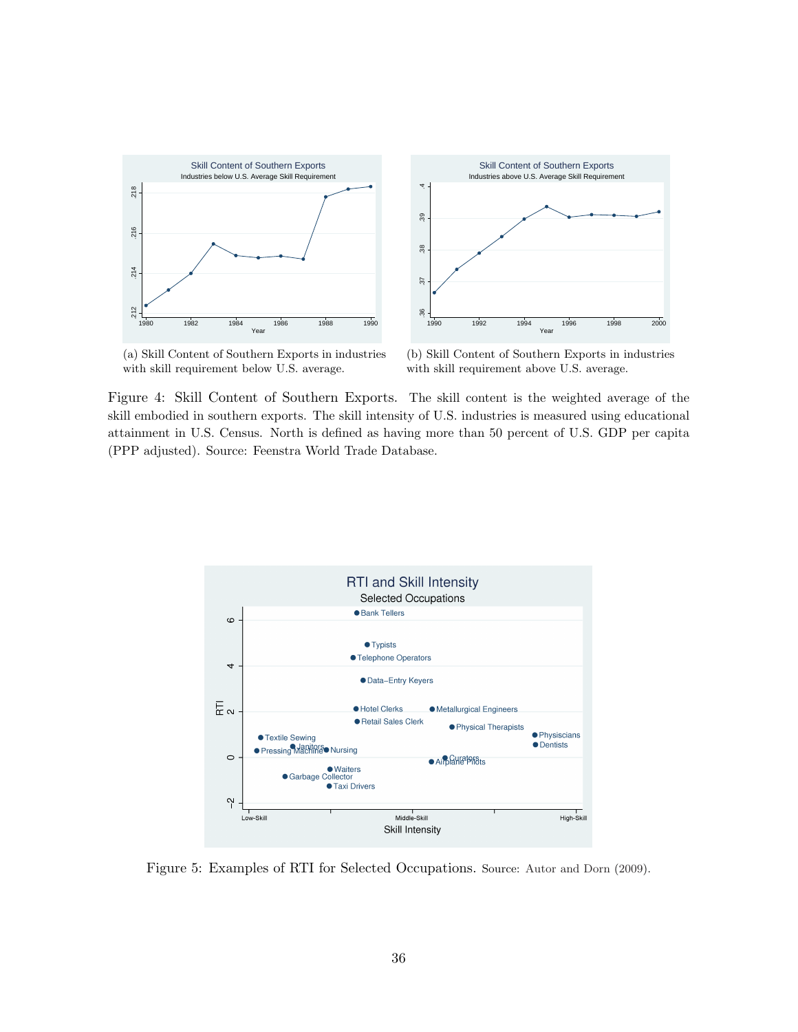<span id="page-36-0"></span>



(a) Skill Content of Southern Exports in industries with skill requirement below U.S. average.

(b) Skill Content of Southern Exports in industries with skill requirement above U.S. average.

Figure 4: Skill Content of Southern Exports. The skill content is the weighted average of the skill embodied in southern exports. The skill intensity of U.S. industries is measured using educational attainment in U.S. Census. North is defined as having more than 50 percent of U.S. GDP per capita (PPP adjusted). Source: Feenstra World Trade Database.



Figure 5: Examples of RTI for Selected Occupations. Source: [Autor and Dorn](#page-22-0) [\(2009](#page-22-0)).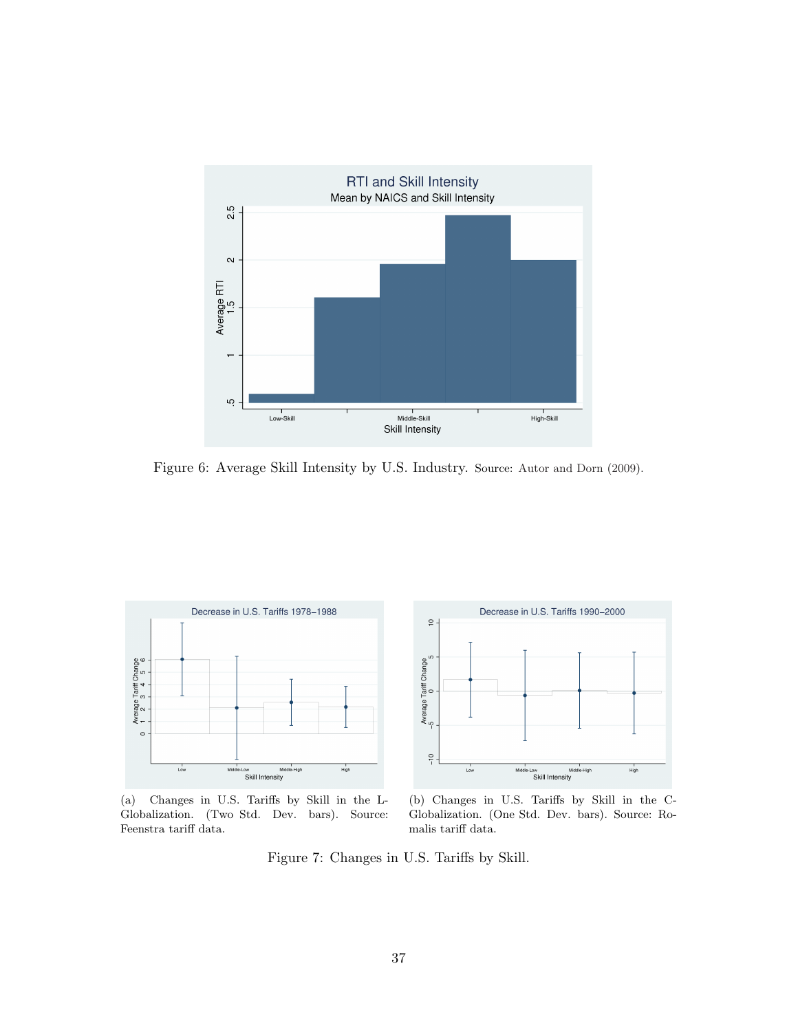<span id="page-37-0"></span>

Figure 6: Average Skill Intensity by U.S. Industry. Source: [Autor and Dorn](#page-22-0) [\(2009](#page-22-0)).



(a) Changes in U.S. Tariffs by Skill in the L-Globalization. (Two Std. Dev. bars). Source: Feenstra tariff data.



(b) Changes in U.S. Tariffs by Skill in the C-Globalization. (One Std. Dev. bars). Source: Romalis tariff data.

Figure 7: Changes in U.S. Tariffs by Skill.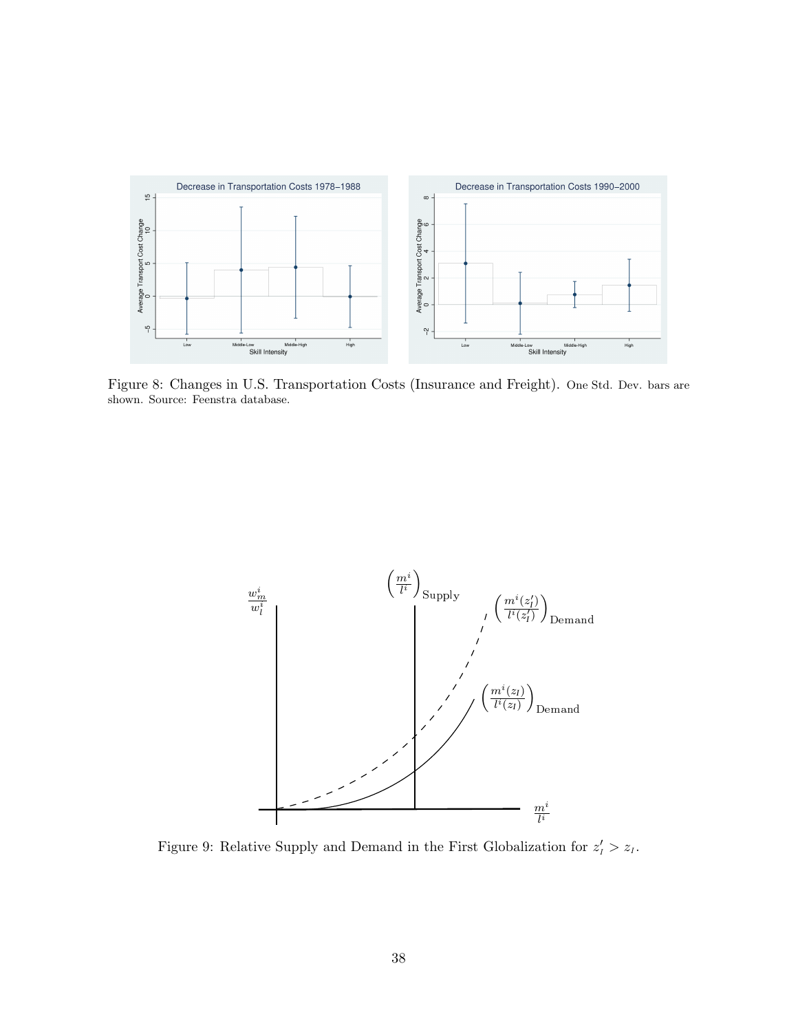<span id="page-38-0"></span>

Figure 8: Changes in U.S. Transportation Costs (Insurance and Freight). One Std. Dev. bars are shown. Source: Feenstra database.



Figure 9: Relative Supply and Demand in the First Globalization for  $z'_I > z_I$ .